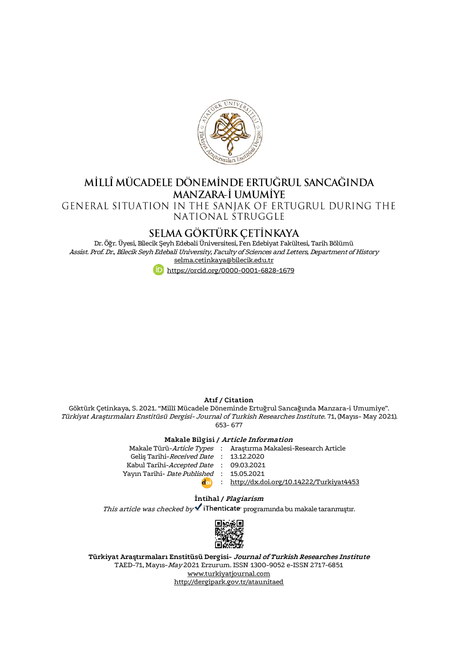

# MİLLÎ MÜCADELE DÖNEMİNDE ERTUĞRUL SANCAĞINDA MANZARA-İ UMUMİYE

GENERAL SITUATION IN THE SANJAK OF ERTUGRUL DURING THE

NATIONAL STRUGGLE

 ${\rm SELMA~GÖKTÜRK~\rm \& TINKAYA}\\ {\rm Dr.~\ddot O\ddot cr.~\ddot Uyesi,~\ddot Eliecik~\c~Seyh~\rm Edebali~\ddot Uriversitesi, Fen~\rm Edebiyat~\rm Fakültesi,~\rm Tarih~Bölümü}$ Assist. Prof. Dr., Bilecik Seyh Edebali University, Faculty of Sciences and Letters, Department of History [selma.cetinkaya@bilecik.edu.tr](mailto:selma.cetinkaya@bilecik.edu.tr)



## **Atıf / Citation**

Göktürk Çetinkaya, S. 2021. "Millî Mücadele Döneminde Ertuğrul Sancağında Manzara-i Umumiye". Türkiyat Araştırmaları Enstitüsü Dergisi- Journal of Turkish Researches Institute. 71, (Mayıs- May 2021). 653- 677

### **Makale Bilgisi / Article Information**

|                                          | Makale Türü-Article Types : Araştırma Makalesi-Research Article |
|------------------------------------------|-----------------------------------------------------------------|
| Gelis Tarihi-Received Date : 13.12.2020  |                                                                 |
| Kabul Tarihi-Accepted Date : 09.03.2021  |                                                                 |
| Yayın Tarihi- Date Published: 15.05.2021 |                                                                 |
| doi                                      | : http://dx.doi.org/10.14222/Turkiyat4453                       |
|                                          |                                                                 |

# **İntihal / Plagiarism**

This article was checked by  $\checkmark$  iThenticate programında bu makale taranmıştır.



**Türkiyat Araştırmaları Enstitüsü Dergisi- Journal of Turkish Researches Institute** TAED-71, Mayıs-May 2021 Erzurum. ISSN 1300-9052 e-ISSN 2717-6851 [www.turkiyatjournal.com](http://www.turkiyatjournal.com/) <http://dergipark.gov.tr/ataunitaed>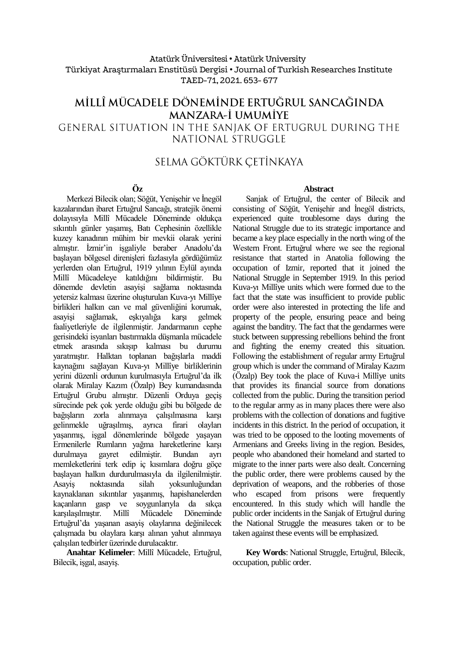# Atatürk Üniversitesi• Atatürk University Türkiyat Araştırmaları Enstitüsü Dergisi • Journal of Turkish Researches Institute TAED-71, 2021.653- 677

# MİLLÎ MÜCADELE DÖNEMİNDE ERTUĞRUL SANCAĞINDA **MANZARA-İ UMUMİYE** GENERAL SITUATION IN THE SANJAK OF ERTUGRUL DURING THE NATIONAL STRUGGLE

# SELMA GÖKTÜRK CETİNKAYA

# **Öz**

Merkezi Bilecik olan; Söğüt, Yenişehir ve İnegöl kazalarından ibaret Ertuğrul Sancağı, stratejik önemi dolayısıyla Millî Mücadele Döneminde oldukça sıkıntılı günler yaşamış, Batı Cephesinin özellikle kuzey kanadının mühim bir mevkii olarak yerini almıştır. İzmir'in işgaliyle beraber Anadolu'da başlayan bölgesel direnişleri fazlasıyla gördüğümüz yerlerden olan Ertuğrul, 1919 yılının Eylül ayında Millî Mücadeleye katıldığını bildirmiştir. Bu dönemde devletin asayişi sağlama noktasında yetersiz kalması üzerine oluşturulan Kuva-yı Millîye birlikleri halkın can ve mal güvenliğini korumak, asayişi sağlamak, eşkıyalığa karşı gelmek faaliyetleriyle de ilgilenmiştir. Jandarmanın cephe gerisindeki isyanları bastırmakla düşmanla mücadele etmek arasında sıkışıp kalması bu durumu yaratmıştır. Halktan toplanan bağışlarla maddi kaynağını sağlayan Kuva-yı Millîye birliklerinin yerini düzenli ordunun kurulmasıyla Ertuğrul'da ilk olarak Miralay Kazım (Özalp) Bey kumandasında Ertuğrul Grubu almıştır. Düzenli Orduya geçiş sürecinde pek çok yerde olduğu gibi bu bölgede de bağışların zorla alınmaya çalışılmasına karşı gelinmekle uğraşılmış, ayrıca firari olayları yaşanmış, işgal dönemlerinde bölgede yaşayan Ermenilerle Rumların yağma hareketlerine karşı durulmaya gayret edilmiştir. Bundan ayrı memleketlerini terk edip iç kısımlara doğru göçe başlayan halkın durdurulmasıyla da ilgilenilmiştir. Asayiş noktasında silah yoksunluğundan kaynaklanan sıkıntılar yaşanmış, hapishanelerden kaçanların gasp ve soygunlarıyla da sıkça karşılaşılmıştır. Millî Mücadele Döneminde Ertuğrul'da yaşanan asayiş olaylarına değinilecek çalışmada bu olaylara karşı alınan yahut alınmaya çalışılan tedbirler üzerinde durulacaktır.

**Anahtar Kelimeler**: Millî Mücadele, Ertuğrul, Bilecik, işgal, asayiş.

#### **Abstract**

Sanjak of Ertuğrul, the center of Bilecik and consisting of Söğüt, Yenişehir and İnegöl districts, experienced quite troublesome days during the National Struggle due to its strategic importance and became a key place especially in the north wing of the Western Front. Ertuğrul where we see the regional resistance that started in Anatolia following the occupation of Izmir, reported that it joined the National Struggle in September 1919. In this period Kuva-yı Millîye units which were formed due to the fact that the state was insufficient to provide public order were also interested in protecting the life and property of the people, ensuring peace and being against the banditry. The fact that the gendarmes were stuck between suppressing rebellions behind the front and fighting the enemy created this situation. Following the establishment of regular army Ertuğrul group which is under the command of Miralay Kazım (Özalp) Bey took the place of Kuva-i Millîye units that provides its financial source from donations collected from the public. During the transition period to the regular army as in many places there were also problems with the collection of donations and fugitive incidents in this district. In the period of occupation, it was tried to be opposed to the looting movements of Armenians and Greeks living in the region. Besides, people who abandoned their homeland and started to migrate to the inner parts were also dealt. Concerning the public order, there were problems caused by the deprivation of weapons, and the robberies of those who escaped from prisons were frequently encountered. In this study which will handle the public order incidents in the Sanjak of Ertuğrul during the National Struggle the measures taken or to be taken against these events will be emphasized.

**Key Words**: National Struggle, Ertuğrul, Bilecik, occupation, public order.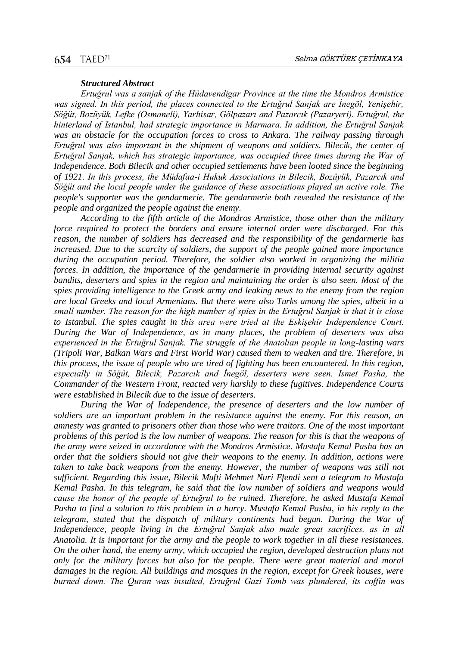#### *Structured Abstract*

*Ertuğrul was a sanjak of the Hüdavendigar Province at the time the Mondros Armistice was signed. In this period, the places connected to the Ertuğrul Sanjak are İnegöl, Yenişehir, Söğüt, Bozüyük, Lefke (Osmaneli), Yarhisar, Gölpazarı and Pazarcık (Pazaryeri). Ertuğrul, the hinterland of Istanbul, had strategic importance in Marmara. In addition, the Ertuğrul Sanjak was an obstacle for the occupation forces to cross to Ankara. The railway passing through Ertuğrul was also important in the shipment of weapons and soldiers. Bilecik, the center of Ertuğrul Sanjak, which has strategic importance, was occupied three times during the War of Independence. Both Bilecik and other occupied settlements have been looted since the beginning of 1921. In this process, the Müdafaa-i Hukuk Associations in Bilecik, Bozüyük, Pazarcık and Söğüt and the local people under the guidance of these associations played an active role. The people's supporter was the gendarmerie. The gendarmerie both revealed the resistance of the people and organized the people against the enemy.*

*According to the fifth article of the Mondros Armistice, those other than the military force required to protect the borders and ensure internal order were discharged. For this reason, the number of soldiers has decreased and the responsibility of the gendarmerie has increased. Due to the scarcity of soldiers, the support of the people gained more importance during the occupation period. Therefore, the soldier also worked in organizing the militia forces. In addition, the importance of the gendarmerie in providing internal security against bandits, deserters and spies in the region and maintaining the order is also seen. Most of the spies providing intelligence to the Greek army and leaking news to the enemy from the region are local Greeks and local Armenians. But there were also Turks among the spies, albeit in a small number. The reason for the high number of spies in the Ertuğrul Sanjak is that it is close to Istanbul. The spies caught in this area were tried at the Eskişehir Independence Court. During the War of Independence, as in many places, the problem of deserters was also experienced in the Ertuğrul Sanjak. The struggle of the Anatolian people in long-lasting wars (Tripoli War, Balkan Wars and First World War) caused them to weaken and tire. Therefore, in this process, the issue of people who are tired of fighting has been encountered. In this region, especially in Söğüt, Bilecik, Pazarcık and İnegöl, deserters were seen. Ismet Pasha, the Commander of the Western Front, reacted very harshly to these fugitives. Independence Courts were established in Bilecik due to the issue of deserters.* 

*During the War of Independence, the presence of deserters and the low number of soldiers are an important problem in the resistance against the enemy. For this reason, an amnesty was granted to prisoners other than those who were traitors. One of the most important problems of this period is the low number of weapons. The reason for this is that the weapons of the army were seized in accordance with the Mondros Armistice. Mustafa Kemal Pasha has an order that the soldiers should not give their weapons to the enemy. In addition, actions were taken to take back weapons from the enemy. However, the number of weapons was still not sufficient. Regarding this issue, Bilecik Mufti Mehmet Nuri Efendi sent a telegram to Mustafa Kemal Pasha. In this telegram, he said that the low number of soldiers and weapons would cause the honor of the people of Ertuğrul to be ruined. Therefore, he asked Mustafa Kemal Pasha to find a solution to this problem in a hurry. Mustafa Kemal Pasha, in his reply to the telegram, stated that the dispatch of military continents had begun. During the War of Independence, people living in the Ertuğrul Sanjak also made great sacrifices, as in all Anatolia. It is important for the army and the people to work together in all these resistances. On the other hand, the enemy army, which occupied the region, developed destruction plans not only for the military forces but also for the people. There were great material and moral damages in the region. All buildings and mosques in the region, except for Greek houses, were burned down. The Quran was insulted, Ertuğrul Gazi Tomb was plundered, its coffin was*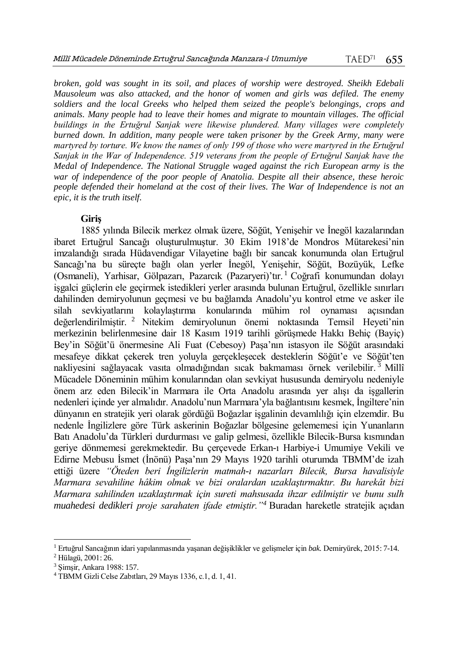*broken, gold was sought in its soil, and places of worship were destroyed. Sheikh Edebali Mausoleum was also attacked, and the honor of women and girls was defiled. The enemy soldiers and the local Greeks who helped them seized the people's belongings, crops and animals. Many people had to leave their homes and migrate to mountain villages. The official buildings in the Ertuğrul Sanjak were likewise plundered. Many villages were completely burned down. In addition, many people were taken prisoner by the Greek Army, many were martyred by torture. We know the names of only 199 of those who were martyred in the Ertuğrul Sanjak in the War of Independence. 519 veterans from the people of Ertuğrul Sanjak have the Medal of Independence. The National Struggle waged against the rich European army is the war of independence of the poor people of Anatolia. Despite all their absence, these heroic people defended their homeland at the cost of their lives. The War of Independence is not an epic, it is the truth itself.*

# **Giriş**

1885 yılında Bilecik merkez olmak üzere, Söğüt, Yenişehir ve İnegöl kazalarından ibaret Ertuğrul Sancağı oluşturulmuştur. 30 Ekim 1918'de Mondros Mütarekesi'nin imzalandığı sırada Hüdavendigar Vilayetine bağlı bir sancak konumunda olan Ertuğrul Sancağı'na bu süreçte bağlı olan yerler İnegöl, Yenişehir, Söğüt, Bozüyük, Lefke (Osmaneli), Yarhisar, Gölpazarı, Pazarcık (Pazaryeri)'tır. <sup>1</sup> Coğrafi konumundan dolayı işgalci güçlerin ele geçirmek istedikleri yerler arasında bulunan Ertuğrul, özellikle sınırları dahilinden demiryolunun geçmesi ve bu bağlamda Anadolu'yu kontrol etme ve asker ile silah sevkiyatlarını kolaylaştırma konularında mühim rol oynaması açısından değerlendirilmiştir. <sup>2</sup> Nitekim demiryolunun önemi noktasında Temsil Heyeti'nin merkezinin belirlenmesine dair 18 Kasım 1919 tarihli görüşmede Hakkı Behiç (Bayiç) Bey'in Söğüt'ü önermesine Ali Fuat (Cebesoy) Paşa'nın istasyon ile Söğüt arasındaki mesafeye dikkat çekerek tren yoluyla gerçekleşecek desteklerin Söğüt'e ve Söğüt'ten nakliyesini sağlayacak vasıta olmadığından sıcak bakmaması örnek verilebilir. <sup>3</sup> Millî Mücadele Döneminin mühim konularından olan sevkiyat hususunda demiryolu nedeniyle önem arz eden Bilecik'in Marmara ile Orta Anadolu arasında yer alışı da işgallerin nedenleri içinde yer almalıdır. Anadolu'nun Marmara'yla bağlantısını kesmek, İngiltere'nin dünyanın en stratejik yeri olarak gördüğü Boğazlar işgalinin devamlılığı için elzemdir. Bu nedenle İngilizlere göre Türk askerinin Boğazlar bölgesine gelememesi için Yunanların Batı Anadolu'da Türkleri durdurması ve galip gelmesi, özellikle Bilecik-Bursa kısmından geriye dönmemesi gerekmektedir. Bu çerçevede Erkan-ı Harbiye-i Umumiye Vekili ve Edirne Mebusu İsmet (İnönü) Paşa'nın 29 Mayıs 1920 tarihli oturumda TBMM'de izah ettiği üzere *"Öteden beri İngilizlerin matmah-ı nazarları Bilecik, Bursa havalisiyle Marmara sevahiline hâkim olmak ve bizi oralardan uzaklaştırmaktır. Bu harekât bizi Marmara sahilinden uzaklaştırmak için sureti mahsusada ihzar edilmiştir ve bunu sulh muahedesi dedikleri proje sarahaten ifade etmiştir."<sup>4</sup>* Buradan hareketle stratejik açıdan

<sup>1</sup> Ertuğrul Sancağının idari yapılanmasında yaşanan değişiklikler ve gelişmeler için *bak.* Demiryürek, 2015: 7-14.

<sup>2</sup> Hülagü, 2001: 26.

<sup>3</sup> Şimşir, Ankara 1988: 157.

<sup>4</sup> TBMM Gizli Celse Zabıtları, 29 Mayıs 1336, c.1, d. 1, 41.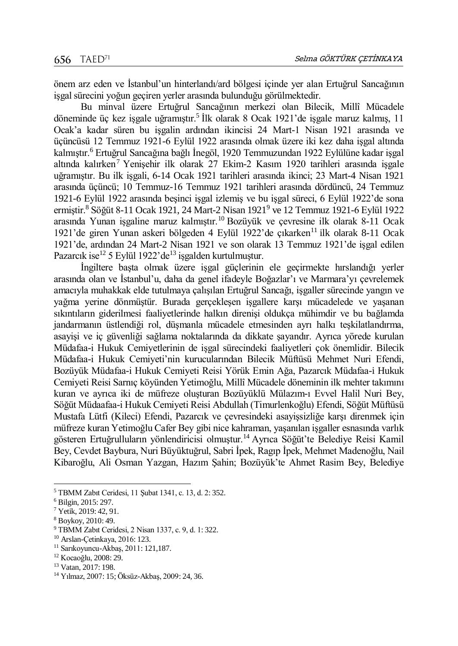önem arz eden ve İstanbul'un hinterlandı/ard bölgesi içinde yer alan Ertuğrul Sancağının işgal sürecini yoğun geçiren yerler arasında bulunduğu görülmektedir.

Bu minval üzere Ertuğrul Sancağının merkezi olan Bilecik, Millî Mücadele döneminde üç kez işgale uğramıştır.<sup>5</sup> İlk olarak 8 Ocak 1921'de işgale maruz kalmış, 11 Ocak'a kadar süren bu işgalin ardından ikincisi 24 Mart-1 Nisan 1921 arasında ve üçüncüsü 12 Temmuz 1921-6 Eylül 1922 arasında olmak üzere iki kez daha işgal altında kalmıştır.<sup>6</sup> Ertuğrul Sancağına bağlı İnegöl, 1920 Temmuzundan 1922 Eylülüne kadar işgal altında kalırken<sup>7</sup> Yenisehir ilk olarak 27 Ekim-2 Kasım 1920 tarihleri arasında isgale uğramıştır. Bu ilk işgali, 6-14 Ocak 1921 tarihleri arasında ikinci; 23 Mart-4 Nisan 1921 arasında üçüncü; 10 Temmuz-16 Temmuz 1921 tarihleri arasında dördüncü, 24 Temmuz 1921-6 Eylül 1922 arasında beşinci işgal izlemiş ve bu işgal süreci, 6 Eylül 1922'de sona ermiştir.<sup>8</sup> Söğüt 8-11 Ocak 1921, 24 Mart-2 Nisan 1921<sup>9</sup> ve 12 Temmuz 1921-6 Eylül 1922 arasında Yunan işgaline maruz kalmıştır.<sup>10</sup> Bozüyük ve çevresine ilk olarak 8-11 Ocak 1921'de giren Yunan askeri bölgeden 4 Eylül 1922'de çıkarken<sup>11</sup> ilk olarak 8-11 Ocak 1921'de, ardından 24 Mart-2 Nisan 1921 ve son olarak 13 Temmuz 1921'de işgal edilen Pazarcık ise<sup>12</sup> 5 Eylül 1922'de<sup>13</sup> isgalden kurtulmuştur.

İngiltere başta olmak üzere işgal güçlerinin ele geçirmekte hırslandığı yerler arasında olan ve İstanbul'u, daha da genel ifadeyle Boğazlar'ı ve Marmara'yı çevrelemek amacıyla muhakkak elde tutulmaya çalışılan Ertuğrul Sancağı, işgaller sürecinde yangın ve yağma yerine dönmüştür. Burada gerçekleşen işgallere karşı mücadelede ve yaşanan sıkıntıların giderilmesi faaliyetlerinde halkın direnişi oldukça mühimdir ve bu bağlamda jandarmanın üstlendiği rol, düşmanla mücadele etmesinden ayrı halkı teşkilatlandırma, asayişi ve iç güvenliği sağlama noktalarında da dikkate şayandır. Ayrıca yörede kurulan Müdafaa-i Hukuk Cemiyetlerinin de işgal sürecindeki faaliyetleri çok önemlidir. Bilecik Müdafaa-i Hukuk Cemiyeti'nin kurucularından Bilecik Müftüsü Mehmet Nuri Efendi, Bozüyük Müdafaa-i Hukuk Cemiyeti Reisi Yörük Emin Ağa, Pazarcık Müdafaa-i Hukuk Cemiyeti Reisi Sarnıç köyünden Yetimoğlu, Millî Mücadele döneminin ilk mehter takımını kuran ve ayrıca iki de müfreze oluşturan Bozüyüklü Mülazım-ı Evvel Halil Nuri Bey, Söğüt Müdaafaa-i Hukuk Cemiyeti Reisi Abdullah (Timurlenkoğlu) Efendi, Söğüt Müftüsü Mustafa Lütfi (Kileci) Efendi, Pazarcık ve çevresindeki asayişsizliğe karşı direnmek için müfreze kuran Yetimoğlu Cafer Bey gibi nice kahraman, yaşanılan işgaller esnasında varlık gösteren Ertuğrulluların yönlendiricisi olmuştur.<sup>14</sup> Ayrıca Söğüt'te Belediye Reisi Kamil Bey, Cevdet Baybura, Nuri Büyüktuğrul, Sabri İpek, Ragıp İpek, Mehmet Madenoğlu, Nail Kibaroğlu, Ali Osman Yazgan, Hazım Şahin; Bozüyük'te Ahmet Rasim Bey, Belediye

<sup>5</sup> TBMM Zabıt Ceridesi, 11 Şubat 1341, c. 13, d. 2: 352.

<sup>6</sup> Bilgin, 2015: 297.

<sup>7</sup> Yetik, 2019: 42, 91.

<sup>8</sup> Boykoy, 2010: 49.

<sup>9</sup> TBMM Zabıt Ceridesi, 2 Nisan 1337, c. 9, d. 1: 322.

<sup>10</sup> Arslan-Çetinkaya, 2016: 123.

<sup>11</sup> Sarıkoyuncu-Akbaş, 2011: 121,187.

<sup>12</sup> Kocaoğlu, 2008: 29.

<sup>13</sup> Vatan, 2017: 198.

<sup>14</sup> Yılmaz, 2007: 15; Öksüz-Akbaş, 2009: 24, 36.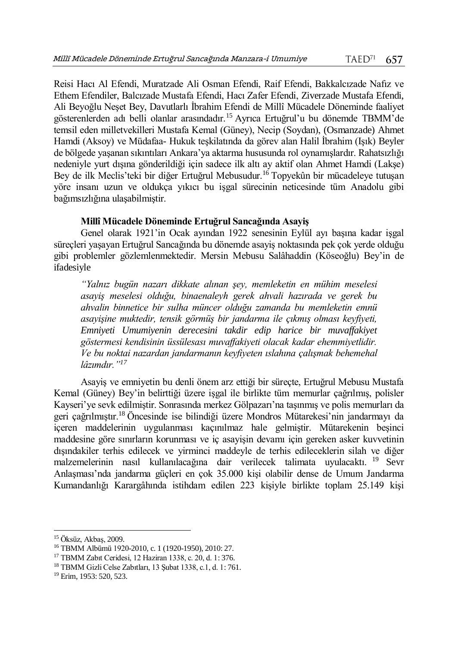Reisi Hacı Al Efendi, Muratzade Ali Osman Efendi, Raif Efendi, Bakkalcızade Nafız ve Ethem Efendiler, Balcızade Mustafa Efendi, Hacı Zafer Efendi, Ziverzade Mustafa Efendi, Ali Beyoğlu Neşet Bey, Davutlarlı İbrahim Efendi de Millî Mücadele Döneminde faaliyet gösterenlerden adı belli olanlar arasındadır.<sup>15</sup> Ayrıca Ertuğrul'u bu dönemde TBMM'de temsil eden milletvekilleri Mustafa Kemal (Güney), Necip (Soydan), (Osmanzade) Ahmet Hamdi (Aksoy) ve Müdafaa- Hukuk teşkilatında da görev alan Halil İbrahim (Işık) Beyler de bölgede yaşanan sıkıntıları Ankara'ya aktarma hususunda rol oynamışlardır. Rahatsızlığı nedeniyle yurt dışına gönderildiği için sadece ilk altı ay aktif olan Ahmet Hamdi (Lakşe) Bey de ilk Meclis'teki bir diğer Ertuğrul Mebusudur.<sup>16</sup> Topyekûn bir mücadeleye tutuşan yöre insanı uzun ve oldukça yıkıcı bu işgal sürecinin neticesinde tüm Anadolu gibi bağımsızlığına ulaşabilmiştir.

# **Millî Mücadele Döneminde Ertuğrul Sancağında Asayiş**

Genel olarak 1921'in Ocak ayından 1922 senesinin Eylül ayı başına kadar işgal süreçleri yaşayan Ertuğrul Sancağında bu dönemde asayiş noktasında pek çok yerde olduğu gibi problemler gözlemlenmektedir. Mersin Mebusu Salâhaddin (Köseoğlu) Bey'in de ifadesiyle

*"Yalnız bugün nazarı dikkate alınan şey, memleketin en mühim meselesi asayiş meselesi olduğu, binaenaleyh gerek ahvali hazırada ve gerek bu ahvalin binnetice bir sulha müncer olduğu zamanda bu memleketin emnü asayişine muktedir, tensik görmüş bir jandarma ile çıkmış olması keyfiyeti, Emniyeti Umumiyenin derecesini takdir edip harice bir muvaffakiyet göstermesi kendisinin üssülesası muvaffakiyeti olacak kadar ehemmiyetlidir. Ve bu noktai nazardan jandarmanın keyfiyeten ıslahına çalışmak behemehal lâzımdır."<sup>17</sup>*

Asayiş ve emniyetin bu denli önem arz ettiği bir süreçte, Ertuğrul Mebusu Mustafa Kemal (Güney) Bey'in belirttiği üzere işgal ile birlikte tüm memurlar çağrılmış, polisler Kayseri'ye sevk edilmiştir. Sonrasında merkez Gölpazarı'na taşınmış ve polis memurları da geri çağrılmıştır.<sup>18</sup> Öncesinde ise bilindiği üzere Mondros Mütarekesi'nin jandarmayı da içeren maddelerinin uygulanması kaçınılmaz hale gelmiştir. Mütarekenin beşinci maddesine göre sınırların korunması ve iç asayişin devamı için gereken asker kuvvetinin dışındakiler terhis edilecek ve yirminci maddeyle de terhis edileceklerin silah ve diğer malzemelerinin nasıl kullanılacağına dair verilecek talimata uyulacaktı. <sup>19</sup> Sevr Anlaşması'nda jandarma güçleri en çok 35.000 kişi olabilir dense de Umum Jandarma Kumandanlığı Karargâhında istihdam edilen 223 kişiyle birlikte toplam 25.149 kişi

<sup>15</sup> Öksüz, Akbaş, 2009.

<sup>16</sup> TBMM Albümü 1920-2010, c. 1 (1920-1950), 2010: 27.

<sup>17</sup> TBMM Zabıt Ceridesi, 12 Haziran 1338, c. 20, d. 1: 376.

<sup>18</sup> TBMM Gizli Celse Zabıtları, 13 Şubat 1338, c.1, d. 1: 761.

<sup>&</sup>lt;sup>19</sup> Erim, 1953: 520, 523.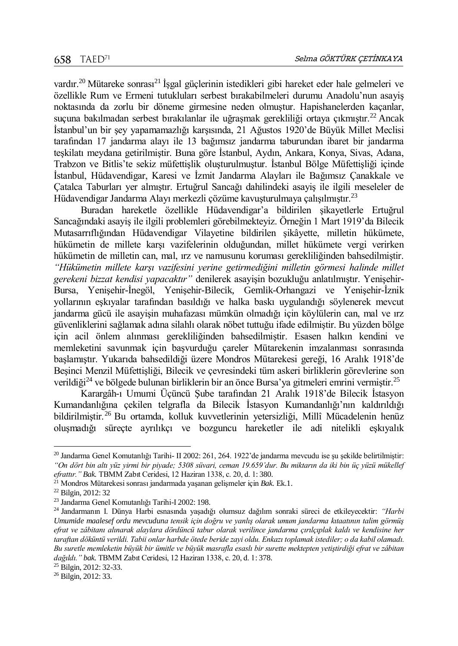vardır.<sup>20</sup> Mütareke sonrası<sup>21</sup> İşgal güçlerinin istedikleri gibi hareket eder hale gelmeleri ve özellikle Rum ve Ermeni tutukluları serbest bırakabilmeleri durumu Anadolu'nun asayiş noktasında da zorlu bir döneme girmesine neden olmuştur. Hapishanelerden kaçanlar, suçuna bakılmadan serbest bırakılanlar ile uğraşmak gerekliliği ortaya çıkmıştır.<sup>22</sup> Ancak İstanbul'un bir şey yapamamazlığı karşısında, 21 Ağustos 1920'de Büyük Millet Meclisi tarafından 17 jandarma alayı ile 13 bağımsız jandarma taburundan ibaret bir jandarma teşkilatı meydana getirilmiştir. Buna göre İstanbul, Aydın, Ankara, Konya, Sivas, Adana, Trabzon ve Bitlis'te sekiz müfettişlik oluşturulmuştur. İstanbul Bölge Müfettişliği içinde İstanbul, Hüdavendigar, Karesi ve İzmit Jandarma Alayları ile Bağımsız Çanakkale ve Çatalca Taburları yer almıştır. Ertuğrul Sancağı dahilindeki asayiş ile ilgili meseleler de Hüdavendigar Jandarma Alayı merkezli çözüme kavuşturulmaya çalışılmıştır.<sup>23</sup>

Buradan hareketle özellikle Hüdavendigar'a bildirilen şikayetlerle Ertuğrul Sancağındaki asayiş ile ilgili problemleri görebilmekteyiz. Örneğin 1 Mart 1919'da Bilecik Mutasarrıflığından Hüdavendigar Vilayetine bildirilen şikâyette, milletin hükümete, hükümetin de millete karşı vazifelerinin olduğundan, millet hükümete vergi verirken hükümetin de milletin can, mal, ırz ve namusunu koruması gerekliliğinden bahsedilmiştir. *"Hükümetin millete karşı vazifesini yerine getirmediğini milletin görmesi halinde millet gerekeni bizzat kendisi yapacaktır"* denilerek asayişin bozukluğu anlatılmıştır. Yenişehir-Bursa, Yenişehir-İnegöl, Yenişehir-Bilecik, Gemlik-Orhangazi ve Yenişehir-İznik yollarının eşkıyalar tarafından basıldığı ve halka baskı uygulandığı söylenerek mevcut jandarma gücü ile asayişin muhafazası mümkün olmadığı için köylülerin can, mal ve ırz güvenliklerini sağlamak adına silahlı olarak nöbet tuttuğu ifade edilmiştir. Bu yüzden bölge için acil önlem alınması gerekliliğinden bahsedilmiştir. Esasen halkın kendini ve memleketini savunmak için başvurduğu çareler Mütarekenin imzalanması sonrasında başlamıştır. Yukarıda bahsedildiği üzere Mondros Mütarekesi gereği, 16 Aralık 1918'de Beşinci Menzil Müfettişliği, Bilecik ve çevresindeki tüm askeri birliklerin görevlerine son verildiği<sup>24</sup> ve bölgede bulunan birliklerin bir an önce Bursa'ya gitmeleri emrini vermiştir.<sup>25</sup>

Karargâh-ı Umumi Üçüncü Şube tarafından 21 Aralık 1918'de Bilecik İstasyon Kumandanlığına çekilen telgrafla da Bilecik İstasyon Kumandanlığı'nın kaldırıldığı bildirilmiştir.<sup>26</sup> Bu ortamda, kolluk kuvvetlerinin yetersizliği, Millî Mücadelenin henüz oluşmadığı süreçte ayrılıkçı ve bozguncu hareketler ile adi nitelikli eşkıyalık

l

<sup>&</sup>lt;sup>20</sup> Jandarma Genel Komutanlığı Tarihi- II 2002: 261, 264. 1922'de jandarma mevcudu ise şu şekilde belirtilmiştir: *"On dört bin altı yüz yirmi bir piyade; 5308 süvari, ceman 19.659'dur. Bu miktarın da iki bin üç yüzü mükellef efrattır." Bak.* TBMM Zabıt Ceridesi, 12 Haziran 1338, c. 20, d. 1: 380.

<sup>21</sup> Mondros Mütarekesi sonrası jandarmada yaşanan gelişmeler için *Bak.* Ek.1.

<sup>22</sup> Bilgin, 2012: 32

<sup>23</sup> Jandarma Genel Komutanlığı Tarihi-I 2002: 198.

<sup>24</sup> Jandarmanın I. Dünya Harbi esnasında yaşadığı olumsuz dağılım sonraki süreci de etkileyecektir: *"Harbi Umumide maalesef ordu mevcuduna tensik için doğru ve yanlış olarak umum jandarma kıtaatının talim görmüş efrat ve zâbitanı alınarak alaylara dördüncü tabur olarak verilince jandarma çırılçıplak kaldı ve kendisine her taraftan döküntü verildi. Tabii onlar harbde ötede beride zayi oldu. Enkazı toplamak istediler; o da kabil olamadı. Bu suretle memleketin büyük bir ümitle ve büyük masrafla esaslı bir surette mektepten yetiştirdiği efrat ve zâbitan dağıldı." bak.* TBMM Zabıt Ceridesi, 12 Haziran 1338, c. 20, d. 1: 378.

<sup>&</sup>lt;sup>25</sup> Bilgin, 2012: 32-33.

<sup>26</sup> Bilgin, 2012: 33.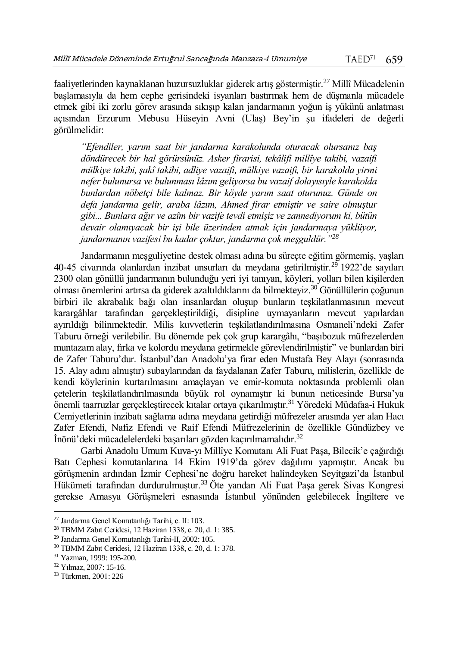faaliyetlerinden kaynaklanan huzursuzluklar giderek artış göstermiştir.<sup>27</sup> Millî Mücadelenin başlamasıyla da hem cephe gerisindeki isyanları bastırmak hem de düşmanla mücadele etmek gibi iki zorlu görev arasında sıkışıp kalan jandarmanın yoğun iş yükünü anlatması açısından Erzurum Mebusu Hüseyin Avni (Ulaş) Bey'in şu ifadeleri de değerli görülmelidir:

*"Efendiler, yarım saat bir jandarma karakolunda oturacak olursanız baş döndürecek bir hal görürsünüz. Asker firarisi, tekâlifi millîye takibi, vazaifi mülkiye takibi, şakî takibi, adliye vazaifi, mülkiye vazaifi, bir karakolda yirmi nefer bulunursa ve bulunması lâzım geliyorsa bu vazaif dolayısıyle karakolda bunlardan nöbetçi bile kalmaz. Bir köyde yarım saat oturunuz. Günde on defa jandarma gelir, araba lâzım, Ahmed firar etmiştir ve saire olmuştur gibi... Bunlara ağır ve azîm bir vazife tevdi etmişiz ve zannediyorum ki, bütün devair olamıyacak bir işi bile üzerinden atmak için jandarmaya yüklüyor, jandarmanın vazifesi bu kadar çoktur, jandarma çok meşguldür."<sup>28</sup>*

Jandarmanın meşguliyetine destek olması adına bu süreçte eğitim görmemiş, yaşları 40-45 civarında olanlardan inzibat unsurları da meydana getirilmiştir.<sup>29</sup> 1922'de sayıları 2300 olan gönüllü jandarmanın bulunduğu yeri iyi tanıyan, köyleri, yolları bilen kişilerden olması önemlerini artırsa da giderek azaltıldıklarını da bilmekteviz.<sup>30</sup> Gönüllülerin çoğunun birbiri ile akrabalık bağı olan insanlardan oluşup bunların teşkilatlanmasının mevcut karargâhlar tarafından gerçekleştirildiği, disipline uymayanların mevcut yapılardan ayırıldığı bilinmektedir. Milis kuvvetlerin teşkilatlandırılmasına Osmaneli'ndeki Zafer Taburu örneği verilebilir. Bu dönemde pek çok grup karargâhı, "başıbozuk müfrezelerden muntazam alay, fırka ve kolordu meydana getirmekle görevlendirilmiştir" ve bunlardan biri de Zafer Taburu'dur. İstanbul'dan Anadolu'ya firar eden Mustafa Bey Alayı (sonrasında 15. Alay adını almıştır) subaylarından da faydalanan Zafer Taburu, milislerin, özellikle de kendi köylerinin kurtarılmasını amaçlayan ve emir-komuta noktasında problemli olan çetelerin teşkilatlandırılmasında büyük rol oynamıştır ki bunun neticesinde Bursa'ya önemli taarruzlar gerçekleştirecek kıtalar ortaya çıkarılmıştır.<sup>31</sup> Yöredeki Müdafaa-i Hukuk Cemiyetlerinin inzibatı sağlama adına meydana getirdiği müfrezeler arasında yer alan Hacı Zafer Efendi, Nafiz Efendi ve Raif Efendi Müfrezelerinin de özellikle Gündüzbey ve İnönü'deki mücadelelerdeki başarıları gözden kaçırılmamalıdır.<sup>32</sup>

Garbi Anadolu Umum Kuva-yı Millîye Komutanı Ali Fuat Paşa, Bilecik'e çağırdığı Batı Cephesi komutanlarına 14 Ekim 1919'da görev dağılımı yapmıştır. Ancak bu görüşmenin ardından İzmir Cephesi'ne doğru hareket halindeyken Seyitgazi'da İstanbul Hükümeti tarafından durdurulmuştur.<sup>33</sup> Öte yandan Ali Fuat Paşa gerek Sivas Kongresi gerekse Amasya Görüşmeleri esnasında İstanbul yönünden gelebilecek İngiltere ve

<sup>27</sup> Jandarma Genel Komutanlığı Tarihi, c. II: 103.

<sup>28</sup> TBMM Zabıt Ceridesi, 12 Haziran 1338, c. 20, d. 1: 385.

<sup>29</sup> Jandarma Genel Komutanlığı Tarihi-II, 2002: 105.

<sup>30</sup> TBMM Zabıt Ceridesi, 12 Haziran 1338, c. 20, d. 1: 378.

<sup>31</sup> Yazman, 1999: 195-200.

<sup>32</sup> Yılmaz, 2007: 15-16.

<sup>33</sup> Türkmen, 2001: 226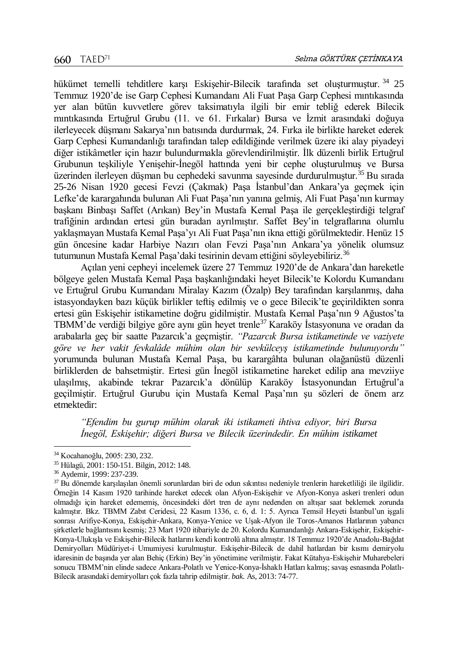hükümet temelli tehditlere karşı Eskişehir-Bilecik tarafında set oluşturmuştur. 34 25 Temmuz 1920'de ise Garp Cephesi Kumandanı Ali Fuat Paşa Garp Cephesi mıntıkasında yer alan bütün kuvvetlere görev taksimatıyla ilgili bir emir tebliğ ederek Bilecik mıntıkasında Ertuğrul Grubu (11. ve 61. Fırkalar) Bursa ve İzmit arasındaki doğuya ilerleyecek düşmanı Sakarya'nın batısında durdurmak, 24. Fırka ile birlikte hareket ederek Garp Cephesi Kumandanlığı tarafından talep edildiğinde verilmek üzere iki alay piyadeyi diğer istikâmetler için hazır bulundurmakla görevlendirilmiştir. İlk düzenli birlik Ertuğrul Grubunun teşkiliyle Yenişehir-İnegöl hattında yeni bir cephe oluşturulmuş ve Bursa üzerinden ilerleyen düşman bu cephedeki savunma sayesinde durdurulmuştur.<sup>35</sup> Bu sırada 25-26 Nisan 1920 gecesi Fevzi (Çakmak) Paşa İstanbul'dan Ankara'ya geçmek için Lefke'de karargahında bulunan Ali Fuat Paşa'nın yanına gelmiş, Ali Fuat Paşa'nın kurmay başkanı Binbaşı Saffet (Arıkan) Bey'in Mustafa Kemal Paşa ile gerçekleştirdiği telgraf trafiğinin ardından ertesi gün buradan ayrılmıştır. Saffet Bey'in telgraflarına olumlu yaklaşmayan Mustafa Kemal Paşa'yı Ali Fuat Paşa'nın ikna ettiği görülmektedir. Henüz 15 gün öncesine kadar Harbiye Nazırı olan Fevzi Paşa'nın Ankara'ya yönelik olumsuz tutumunun Mustafa Kemal Pasa'daki tesirinin devam ettiğini söyleyebiliriz.<sup>36</sup>

Açılan yeni cepheyi incelemek üzere 27 Temmuz 1920'de de Ankara'dan hareketle bölgeye gelen Mustafa Kemal Paşa başkanlığındaki heyet Bilecik'te Kolordu Kumandanı ve Ertuğrul Grubu Kumandanı Miralay Kazım (Özalp) Bey tarafından karşılanmış, daha istasyondayken bazı küçük birlikler teftiş edilmiş ve o gece Bilecik'te geçirildikten sonra ertesi gün Eskişehir istikametine doğru gidilmiştir. Mustafa Kemal Paşa'nın 9 Ağustos'ta TBMM'de verdiği bilgiye göre aynı gün heyet trenle<sup>37</sup> Karaköy İstasyonuna ve oradan da arabalarla geç bir saatte Pazarcık'a geçmiştir. *"Pazarcık Bursa istikametinde ve vaziyete göre ve her vakit fevkalâde mühim olan bir sevkülceyş istikametinde bulunuyordu"* yorumunda bulunan Mustafa Kemal Paşa, bu karargâhta bulunan olağanüstü düzenli birliklerden de bahsetmiştir. Ertesi gün İnegöl istikametine hareket edilip ana mevziiye ulaşılmış, akabinde tekrar Pazarcık'a dönülüp Karaköy İstasyonundan Ertuğrul'a geçilmiştir. Ertuğrul Gurubu için Mustafa Kemal Paşa'nın şu sözleri de önem arz etmektedir:

*"Efendim bu gurup mühim olarak iki istikameti ihtiva ediyor, biri Bursa İnegöl, Eskişehir; diğeri Bursa ve Bilecik üzerindedir. En mühim istikamet* 

l

<sup>34</sup> Kocahanoğlu, 2005: 230, 232.

<sup>35</sup> Hülagü, 2001: 150-151. Bilgin, 2012: 148.

<sup>36</sup> Aydemir, 1999: 237-239.

 $37$  Bu dönemde karşılaşılan önemli sorunlardan biri de odun sıkıntısı nedeniyle trenlerin hareketliliği ile ilgilidir. Örneğin 14 Kasım 1920 tarihinde hareket edecek olan Afyon-Eskişehir ve Afyon-Konya askeri trenleri odun olmadığı için hareket edememiş, öncesindeki dört tren de aynı nedenden on altışar saat beklemek zorunda kalmıştır. Bkz. TBMM Zabıt Ceridesi, 22 Kasım 1336, c. 6, d. 1: 5. Ayrıca Temsil Heyeti İstanbul'un işgali sonrası Arifiye-Konya, Eskişehir-Ankara, Konya-Yenice ve Uşak-Afyon ile Toros-Amanos Hatlarının yabancı şirketlerle bağlantısını kesmiş; 23 Mart 1920 itibariyle de 20. Kolordu Kumandanlığı Ankara-Eskişehir, Eskişehir-Konya-Ulukışla ve Eskişehir-Bilecik hatlarını kendi kontrolü altına almıştır. 18 Temmuz 1920'de Anadolu-Bağdat Demiryolları Müdüriyet-i Umumiyesi kurulmuştur. Eskişehir-Bilecik de dahil hatlardan bir kısmı demiryolu idaresinin de başında yer alan Behiç (Erkin) Bey'in yönetimine verilmiştir. Fakat Kütahya-Eskişehir Muharebeleri sonucu TBMM'nin elinde sadece Ankara-Polatlı ve Yenice-Konya-İshaklı Hatları kalmış; savaş esnasında Polatlı-Bilecik arasındaki demiryolları çok fazla tahrip edilmiştir. *bak.* As, 2013: 74-77.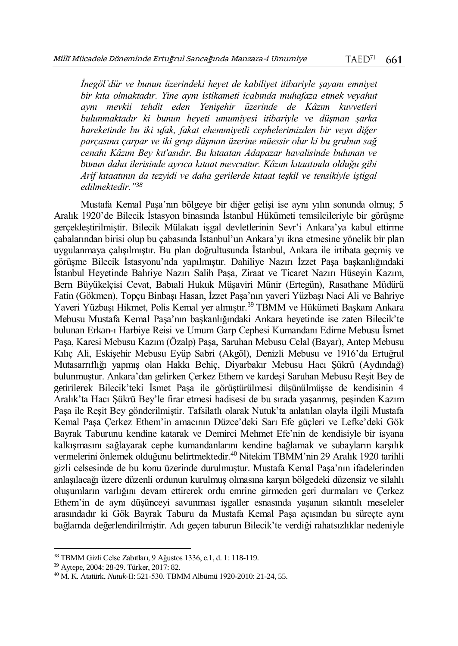*İnegöl'dür ve bunun üzerindeki heyet de kabiliyet itibariyle şayanı emniyet bir kıta olmaktadır. Yine aynı istikameti icabında muhafaza etmek veyahut aynı mevkii tehdit eden Yenişehir üzerinde de Kâzım kuvvetleri bulunmaktadır ki bunun heyeti umumiyesi itibariyle ve düşman şarka hareketinde bu iki ufak, fakat ehemmiyetli cephelerimizden bir veya diğer parçasına çarpar ve iki grup düşman üzerine müessir olur ki bu grubun sağ cenahı Kâzım Bey kıt'asıdır. Bu kıtaatan Adapazar havalisinde bulunan ve bunun daha ilerisinde ayrıca kıtaat mevcuttur. Kâzım kıtaatında olduğu gibi Arif kıtaatının da tezyidi ve daha gerilerde kıtaat teşkil ve tensikiyle iştigal edilmektedir."<sup>38</sup>*

Mustafa Kemal Paşa'nın bölgeye bir diğer gelişi ise aynı yılın sonunda olmuş; 5 Aralık 1920'de Bilecik İstasyon binasında İstanbul Hükümeti temsilcileriyle bir görüşme gerçekleştirilmiştir. Bilecik Mülakatı işgal devletlerinin Sevr'i Ankara'ya kabul ettirme çabalarından birisi olup bu çabasında İstanbul'un Ankara'yı ikna etmesine yönelik bir plan uygulanmaya çalışılmıştır. Bu plan doğrultusunda İstanbul, Ankara ile irtibata geçmiş ve görüşme Bilecik İstasyonu'nda yapılmıştır. Dahiliye Nazırı İzzet Paşa başkanlığındaki İstanbul Heyetinde Bahriye Nazırı Salih Paşa, Ziraat ve Ticaret Nazırı Hüseyin Kazım, Bern Büyükelçisi Cevat, Babıali Hukuk Müşaviri Münir (Ertegün), Rasathane Müdürü Fatin (Gökmen), Topçu Binbaşı Hasan, İzzet Paşa'nın yaveri Yüzbaşı Naci Ali ve Bahriye Yaveri Yüzbaşı Hikmet, Polis Kemal yer almıştır.<sup>39</sup> TBMM ve Hükümeti Başkanı Ankara Mebusu Mustafa Kemal Paşa'nın başkanlığındaki Ankara heyetinde ise zaten Bilecik'te bulunan Erkan-ı Harbiye Reisi ve Umum Garp Cephesi Kumandanı Edirne Mebusu İsmet Paşa, Karesi Mebusu Kazım (Özalp) Paşa, Saruhan Mebusu Celal (Bayar), Antep Mebusu Kılıç Ali, Eskişehir Mebusu Eyüp Sabri (Akgöl), Denizli Mebusu ve 1916'da Ertuğrul Mutasarrıflığı yapmış olan Hakkı Behiç, Diyarbakır Mebusu Hacı Şükrü (Aydındağ) bulunmuştur. Ankara'dan gelirken Çerkez Ethem ve kardeşi Saruhan Mebusu Reşit Bey de getirilerek Bilecik'teki İsmet Paşa ile görüştürülmesi düşünülmüşse de kendisinin 4 Aralık'ta Hacı Şükrü Bey'le firar etmesi hadisesi de bu sırada yaşanmış, peşinden Kazım Paşa ile Reşit Bey gönderilmiştir. Tafsilatlı olarak Nutuk'ta anlatılan olayla ilgili Mustafa Kemal Paşa Çerkez Ethem'in amacının Düzce'deki Sarı Efe güçleri ve Lefke'deki Gök Bayrak Taburunu kendine katarak ve Demirci Mehmet Efe'nin de kendisiyle bir isyana kalkışmasını sağlayarak cephe kumandanlarını kendine bağlamak ve subayların karşılık vermelerini önlemek olduğunu belirtmektedir.<sup>40</sup> Nitekim TBMM'nin 29 Aralık 1920 tarihli gizli celsesinde de bu konu üzerinde durulmuştur. Mustafa Kemal Paşa'nın ifadelerinden anlaşılacağı üzere düzenli ordunun kurulmuş olmasına karşın bölgedeki düzensiz ve silahlı oluşumların varlığını devam ettirerek ordu emrine girmeden geri durmaları ve Çerkez Ethem'in de aynı düşünceyi savunması işgaller esnasında yaşanan sıkıntılı meseleler arasındadır ki Gök Bayrak Taburu da Mustafa Kemal Paşa açısından bu süreçte aynı bağlamda değerlendirilmiştir. Adı geçen taburun Bilecik'te verdiği rahatsızlıklar nedeniyle

<sup>38</sup> TBMM Gizli Celse Zabıtları, 9 Ağustos 1336, c.1, d. 1: 118-119.

<sup>39</sup> Aytepe, 2004: 28-29. Türker, 2017: 82.

<sup>40</sup> M. K. Atatürk, *Nutuk*-II: 521-530. TBMM Albümü 1920-2010: 21-24, 55.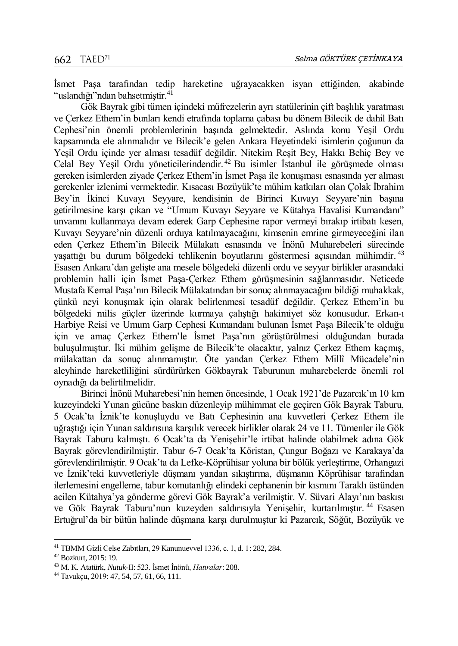İsmet Paşa tarafından tedip hareketine uğrayacakken isyan ettiğinden, akabinde "uslandığı"ndan bahsetmiştir.<sup>41</sup>

Gök Bayrak gibi tümen içindeki müfrezelerin ayrı statülerinin çift başlılık yaratması ve Çerkez Ethem'in bunları kendi etrafında toplama çabası bu dönem Bilecik de dahil Batı Cephesi'nin önemli problemlerinin başında gelmektedir. Aslında konu Yeşil Ordu kapsamında ele alınmalıdır ve Bilecik'e gelen Ankara Heyetindeki isimlerin çoğunun da Yeşil Ordu içinde yer alması tesadüf değildir. Nitekim Reşit Bey, Hakkı Behiç Bey ve Celal Bey Yeşil Ordu yöneticilerindendir. <sup>42</sup> Bu isimler İstanbul ile görüşmede olması gereken isimlerden ziyade Çerkez Ethem'in İsmet Paşa ile konuşması esnasında yer alması gerekenler izlenimi vermektedir. Kısacası Bozüyük'te mühim katkıları olan Çolak İbrahim Bey'in İkinci Kuvayı Seyyare, kendisinin de Birinci Kuvayı Seyyare'nin başına getirilmesine karşı çıkan ve "Umum Kuvayı Seyyare ve Kütahya Havalisi Kumandanı" unvanını kullanmaya devam ederek Garp Cephesine rapor vermeyi bırakıp irtibatı kesen, Kuvayı Seyyare'nin düzenli orduya katılmayacağını, kimsenin emrine girmeyeceğini ilan eden Çerkez Ethem'in Bilecik Mülakatı esnasında ve İnönü Muharebeleri sürecinde yaşattığı bu durum bölgedeki tehlikenin boyutlarını göstermesi açısından mühimdir. <sup>43</sup> Esasen Ankara'dan gelişte ana mesele bölgedeki düzenli ordu ve seyyar birlikler arasındaki problemin halli için İsmet Paşa-Çerkez Ethem görüşmesinin sağlanmasıdır. Neticede Mustafa Kemal Paşa'nın Bilecik Mülakatından bir sonuç alınmayacağını bildiği muhakkak, çünkü neyi konuşmak için olarak belirlenmesi tesadüf değildir. Çerkez Ethem'in bu bölgedeki milis güçler üzerinde kurmaya çalıştığı hakimiyet söz konusudur. Erkan-ı Harbiye Reisi ve Umum Garp Cephesi Kumandanı bulunan İsmet Paşa Bilecik'te olduğu için ve amaç Çerkez Ethem'le İsmet Paşa'nın görüştürülmesi olduğundan burada buluşulmuştur. İki mühim gelişme de Bilecik'te olacaktır, yalnız Çerkez Ethem kaçmış, mülakattan da sonuç alınmamıştır. Öte yandan Çerkez Ethem Millî Mücadele'nin aleyhinde hareketliliğini sürdürürken Gökbayrak Taburunun muharebelerde önemli rol oynadığı da belirtilmelidir.

Birinci İnönü Muharebesi'nin hemen öncesinde, 1 Ocak 1921'de Pazarcık'ın 10 km kuzeyindeki Yunan gücüne baskın düzenleyip mühimmat ele geçiren Gök Bayrak Taburu, 5 Ocak'ta İznik'te konuşluydu ve Batı Cephesinin ana kuvvetleri Çerkez Ethem ile uğraştığı için Yunan saldırısına karşılık verecek birlikler olarak 24 ve 11. Tümenler ile Gök Bayrak Taburu kalmıştı. 6 Ocak'ta da Yenişehir'le irtibat halinde olabilmek adına Gök Bayrak görevlendirilmiştir. Tabur 6-7 Ocak'ta Köristan, Çungur Boğazı ve Karakaya'da görevlendirilmiştir. 9 Ocak'ta da Lefke-Köprühisar yoluna bir bölük yerleştirme, Orhangazi ve İznik'teki kuvvetleriyle düşmanı yandan sıkıştırma, düşmanın Köprühisar tarafından ilerlemesini engelleme, tabur komutanlığı elindeki cephanenin bir kısmını Taraklı üstünden acilen Kütahya'ya gönderme görevi Gök Bayrak'a verilmiştir. V. Süvari Alayı'nın baskısı ve Gök Bayrak Taburu'nun kuzeyden saldırısıyla Yenişehir, kurtarılmıştır. <sup>44</sup> Esasen Ertuğrul'da bir bütün halinde düşmana karşı durulmuştur ki Pazarcık, Söğüt, Bozüyük ve

<sup>41</sup> TBMM Gizli Celse Zabıtları, 29 Kanunuevvel 1336, c. 1, d. 1: 282, 284.

<sup>42</sup> Bozkurt, 2015: 19.

<sup>43</sup> M. K. Atatürk, *Nutuk*-II: 523. İsmet İnönü, *Hatıralar*: 208.

<sup>44</sup> Tavukçu, 2019: 47, 54, 57, 61, 66, 111.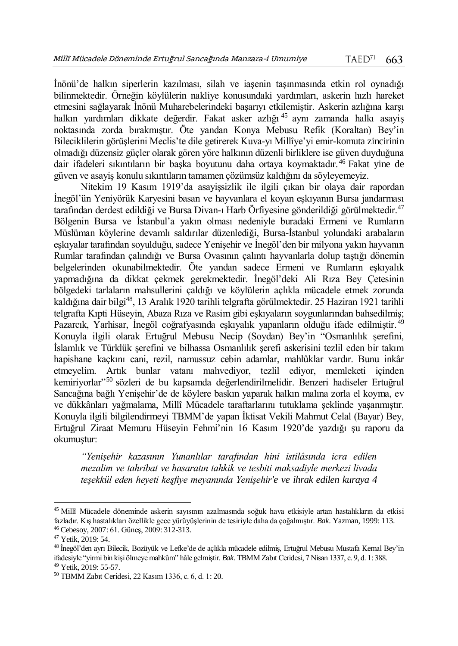İnönü'de halkın siperlerin kazılması, silah ve iaşenin taşınmasında etkin rol oynadığı bilinmektedir. Örneğin köylülerin nakliye konusundaki yardımları, askerin hızlı hareket etmesini sağlayarak İnönü Muharebelerindeki başarıyı etkilemiştir. Askerin azlığına karşı halkın yardımları dikkate değerdir. Fakat asker azlığı <sup>45</sup> aynı zamanda halkı asayiş noktasında zorda bırakmıştır. Öte yandan Konya Mebusu Refik (Koraltan) Bey'in Bileciklilerin görüşlerini Meclis'te dile getirerek Kuva-yı Millîye'yi emir-komuta zincirinin olmadığı düzensiz güçler olarak gören yöre halkının düzenli birliklere ise güven duyduğuna dair ifadeleri sıkıntıların bir başka boyutunu daha ortaya koymaktadır. <sup>46</sup> Fakat yine de güven ve asayiş konulu sıkıntıların tamamen çözümsüz kaldığını da söyleyemeyiz.

Nitekim 19 Kasım 1919'da asayişsizlik ile ilgili çıkan bir olaya dair rapordan İnegöl'ün Yeniyörük Karyesini basan ve hayvanlara el koyan eşkıyanın Bursa jandarması tarafından derdest edildiği ve Bursa Divan-ı Harb Örfiyesine gönderildiği görülmektedir.<sup>47</sup> Bölgenin Bursa ve İstanbul'a yakın olması nedeniyle buradaki Ermeni ve Rumların Müslüman köylerine devamlı saldırılar düzenlediği, Bursa-İstanbul yolundaki arabaların eşkıyalar tarafından soyulduğu, sadece Yenişehir ve İnegöl'den bir milyona yakın hayvanın Rumlar tarafından çalındığı ve Bursa Ovasının çalıntı hayvanlarla dolup taştığı dönemin belgelerinden okunabilmektedir. Öte yandan sadece Ermeni ve Rumların eşkıyalık yapmadığına da dikkat çekmek gerekmektedir. İnegöl'deki Ali Rıza Bey Çetesinin bölgedeki tarlaların mahsullerini çaldığı ve köylülerin açlıkla mücadele etmek zorunda kaldığına dair bilgi<sup>48</sup>, 13 Aralık 1920 tarihli telgrafta görülmektedir. 25 Haziran 1921 tarihli telgrafta Kıpti Hüseyin, Abaza Rıza ve Rasim gibi eşkıyaların soygunlarından bahsedilmiş; Pazarcık, Yarhisar, İnegöl coğrafyasında eşkıyalık yapanların olduğu ifade edilmiştir. <sup>49</sup> Konuyla ilgili olarak Ertuğrul Mebusu Necip (Soydan) Bey'in "Osmanlılık şerefini, İslamlık ve Türklük şerefini ve bilhassa Osmanlılık şerefi askerisini tezlil eden bir takım hapishane kaçkını cani, rezil, namussuz cebin adamlar, mahlûklar vardır. Bunu inkâr etmeyelim. Artık bunlar vatanı mahvediyor, tezlil ediyor, memleketi içinden kemiriyorlar"<sup>50</sup> sözleri de bu kapsamda değerlendirilmelidir. Benzeri hadiseler Ertuğrul Sancağına bağlı Yenişehir'de de köylere baskın yaparak halkın malına zorla el koyma, ev ve dükkânları yağmalama, Millî Mücadele taraftarlarını tutuklama şeklinde yaşanmıştır. Konuyla ilgili bilgilendirmeyi TBMM'de yapan İktisat Vekili Mahmut Celal (Bayar) Bey, Ertuğrul Ziraat Memuru Hüseyin Fehmi'nin 16 Kasım 1920'de yazdığı şu raporu da okumuştur:

*"Yenişehir kazasının Yunanlılar tarafından hini istilâsında icra edilen mezalim ve tahribat ve hasaratın tahkik ve tesbiti maksadiyle merkezi livada teşekkül eden heyeti keşfiye meyanında Yenişehir'e ve ihrak edilen kuraya 4* 

l

<sup>45</sup> Millî Mücadele döneminde askerin sayısının azalmasında soğuk hava etkisiyle artan hastalıkların da etkisi fazladır. Kış hastalıkları özellikle gece yürüyüşlerinin de tesiriyle daha da çoğalmıştır. *Bak*. Yazman, 1999: 113. <sup>46</sup> Cebesoy, 2007: 61. Güneş, 2009: 312-313.

<sup>47</sup> Yetik, 2019: 54.

<sup>48</sup> İnegöl'den ayrı Bilecik, Bozüyük ve Lefke'de de açlıkla mücadele edilmiş, Ertuğrul Mebusu Mustafa Kemal Bey'in ifadesiyle "yirmi bin kişi ölmeye mahkûm" hâle gelmiştir. *Bak.* TBMM Zabıt Ceridesi, 7 Nisan 1337, c. 9, d. 1: 388. <sup>49</sup> Yetik, 2019: 55-57.

<sup>50</sup> TBMM Zabıt Ceridesi, 22 Kasım 1336, c. 6, d. 1: 20.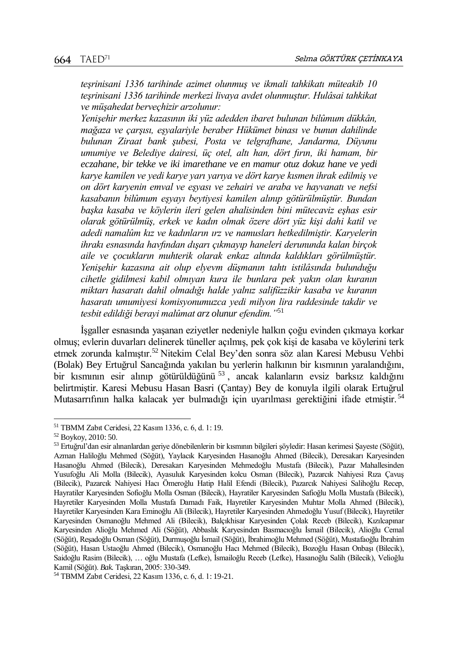*teşrinisani 1336 tarihinde azimet olunmuş ve ikmali tahkikatı müteakib 10 teşrinisani 1336 tarihinde merkezi livaya avdet olunmuştur. Hulâsai tahkikat ve müşahedat berveçhizir arzolunur:*

*Yenişehir merkez kazasının iki yüz adedden ibaret bulunan bilûmum dükkân, mağaza ve çarşısı, eşyalariyle beraber Hükümet binası ve bunun dahilinde bulunan Ziraat bank şubesi, Posta ve telgrafhane, Jandarma, Düyunu umumiye ve Belediye dairesi, üç otel, altı han, dört fırın, iki hamam, bir eczahane, bir tekke ve iki imarethane ve en mamur otuz dokuz hane ve yedi karye kamilen ve yedi karye yarı yarıya ve dört karye kısmen ihrak edilmiş ve on dört karyenin emval ve eşyası ve zehairi ve araba ve hayvanatı ve nefsi kasabanın bilûmum eşyayı beytiyesi kamilen alınıp götürülmüştür. Bundan başka kasaba ve köylerin ileri gelen ahalisinden bini mütecaviz eşhas esir olarak götürülmüş, erkek ve kadın olmak özere dört yüz kişi dahi katil ve adedi namalûm kız ve kadınların ırz ve namusları hetkedilmiştir. Karyelerin ihrakı esnasında havfından dışarı çıkmayıp haneleri derununda kalan birçok aile ve çocukların muhterik olarak enkaz altında kaldıkları görülmüştür. Yenişehir kazasına ait olup elyevm düşmanın tahtı istilâsında bulunduğu cihetle gidilmesi kabil olmıyan kura ile bunlara pek yakın olan kuranın miktarı hasaratı dahil olmadığı halde yalnız salifüzzikir kasaba ve kuranın hasaratı umumiyesi komisyonumuzca yedi milyon lira raddesinde takdir ve tesbit edildiği berayi malûmat arz olunur efendim."*<sup>51</sup>

İşgaller esnasında yaşanan eziyetler nedeniyle halkın çoğu evinden çıkmaya korkar olmuş; evlerin duvarları delinerek tüneller açılmış, pek çok kişi de kasaba ve köylerini terk etmek zorunda kalmıştır.<sup>52</sup> Nitekim Celal Bey'den sonra söz alan Karesi Mebusu Vehbi (Bolak) Bey Ertuğrul Sancağında yakılan bu yerlerin halkının bir kısmının yaralandığını, bir kısmının esir alınıp götürüldüğünü <sup>53</sup> , ancak kalanların evsiz barksız kaldığını belirtmiştir. Karesi Mebusu Hasan Basri (Çantay) Bey de konuyla ilgili olarak Ertuğrul Mutasarrıfının halka kalacak yer bulmadığı için uyarılması gerektiğini ifade etmiştir. <sup>54</sup>

<sup>51</sup> TBMM Zabıt Ceridesi, 22 Kasım 1336, c. 6, d. 1: 19.

<sup>52</sup> Boykoy, 2010: 50.

<sup>53</sup> Ertuğrul'dan esir alınanlardan geriye dönebilenlerin bir kısmının bilgileri şöyledir: Hasan kerimesi Şayeste (Söğüt), Azman Haliloğlu Mehmed (Söğüt), Yaylacık Karyesinden Hasanoğlu Ahmed (Bilecik), Deresakarı Karyesinden Hasanoğlu Ahmed (Bilecik), Deresakarı Karyesinden Mehmedoğlu Mustafa (Bilecik), Pazar Mahallesinden Yusufoğlu Ali Molla (Bilecik), Ayasuluk Karyesinden kolcu Osman (Bilecik), Pazarcık Nahiyesi Rıza Çavuş (Bilecik), Pazarcık Nahiyesi Hacı Ömeroğlu Hatip Halil Efendi (Bilecik), Pazarcık Nahiyesi Salihoğlu Recep, Hayratiler Karyesinden Sofioğlu Molla Osman (Bilecik), Hayratiler Karyesinden Safioğlu Molla Mustafa (Bilecik), Hayretiler Karyesinden Molla Mustafa Damadı Faik, Hayretiler Karyesinden Muhtar Molla Ahmed (Bilecik), Hayretiler Karyesinden Kara Eminoğlu Ali (Bilecik), Hayretiler Karyesinden Ahmedoğlu Yusuf (Bilecik), Hayretiler Karyesinden Osmanoğlu Mehmed Ali (Bilecik), Balçıkhisar Karyesinden Çolak Receb (Bilecik), Kızılcapınar Karyesinden Alioğlu Mehmed Ali (Söğüt), Abbaslık Karyesinden Basmacıoğlu İsmail (Bilecik), Alioğlu Cemal (Söğüt), Reşadoğlu Osman (Söğüt), Durmuşoğlu İsmail (Söğüt), İbrahimoğlu Mehmed (Söğüt), Mustafaoğlu İbrahim (Söğüt), Hasan Ustaoğlu Ahmed (Bilecik), Osmanoğlu Hacı Mehmed (Bilecik), Bozoğlu Hasan Onbaşı (Bilecik), Saidoğlu Rasim (Bilecik), … oğlu Mustafa (Lefke), İsmailoğlu Receb (Lefke), Hasanoğlu Salih (Bilecik), Velioğlu Kamil (Söğüt). *Bak.* Taşkıran, 2005: 330-349.

<sup>54</sup> TBMM Zabıt Ceridesi, 22 Kasım 1336, c. 6, d. 1: 19-21.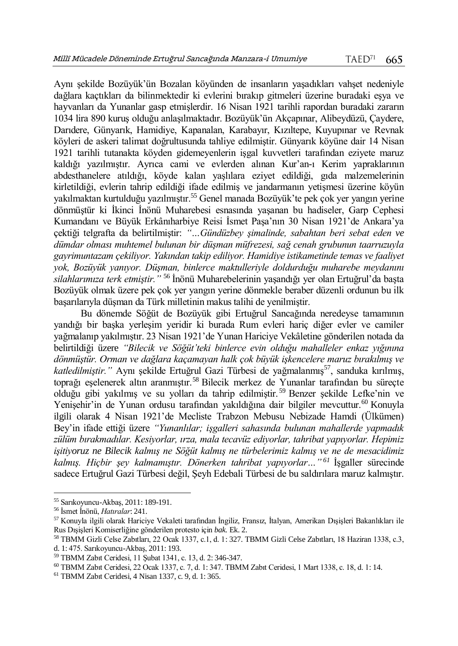Aynı şekilde Bozüyük'ün Bozalan köyünden de insanların yaşadıkları vahşet nedeniyle dağlara kaçtıkları da bilinmektedir ki evlerini bırakıp gitmeleri üzerine buradaki eşya ve hayvanları da Yunanlar gasp etmişlerdir. 16 Nisan 1921 tarihli rapordan buradaki zararın 1034 lira 890 kuruş olduğu anlaşılmaktadır. Bozüyük'ün Akçapınar, Alibeydüzü, Çaydere, Darıdere, Günyarık, Hamidiye, Kapanalan, Karabayır, Kızıltepe, Kuyupınar ve Revnak köyleri de askeri talimat doğrultusunda tahliye edilmiştir. Günyarık köyüne dair 14 Nisan 1921 tarihli tutanakta köyden gidemeyenlerin işgal kuvvetleri tarafından eziyete maruz kaldığı yazılmıştır. Ayrıca cami ve evlerden alınan Kur'an-ı Kerim yapraklarının abdesthanelere atıldığı, köyde kalan yaşlılara eziyet edildiği, gıda malzemelerinin kirletildiği, evlerin tahrip edildiği ifade edilmiş ve jandarmanın yetişmesi üzerine köyün yakılmaktan kurtulduğu yazılmıştır.<sup>55</sup> Genel manada Bozüyük'te pek çok yer yangın yerine dönmüştür ki İkinci İnönü Muharebesi esnasında yaşanan bu hadiseler, Garp Cephesi Kumandanı ve Büyük Erkânıharbiye Reisi İsmet Paşa'nın 30 Nisan 1921'de Ankara'ya çektiği telgrafta da belirtilmiştir: *"…Gündüzbey şimalinde, sabahtan beri sebat eden ve dümdar olması muhtemel bulunan bir düşman müfrezesi, sağ cenah grubunun taarruzuyla gayrimuntazam çekiliyor. Yakından takip ediliyor. Hamidiye istikametinde temas ve faaliyet yok, Bozüyük yanıyor. Düşman, binlerce maktulleriyle doldurduğu muharebe meydanını silahlarımıza terk etmiştir."* <sup>56</sup> İnönü Muharebelerinin yaşandığı yer olan Ertuğrul'da başta Bozüyük olmak üzere pek çok yer yangın yerine dönmekle beraber düzenli ordunun bu ilk başarılarıyla düşman da Türk milletinin makus talihi de yenilmiştir.

Bu dönemde Söğüt de Bozüyük gibi Ertuğrul Sancağında neredeyse tamamının yandığı bir başka yerleşim yeridir ki burada Rum evleri hariç diğer evler ve camiler yağmalanıp yakılmıştır. 23 Nisan 1921'de Yunan Hariciye Vekâletine gönderilen notada da belirtildiği üzere *"Bilecik ve Söğüt'teki binlerce evin olduğu mahalleler enkaz yığınına dönmüştür. Orman ve dağlara kaçamayan halk çok büyük işkencelere maruz bırakılmış ve*  katledilmiştir." Aynı şekilde Ertuğrul Gazi Türbesi de yağmalanmış<sup>57</sup>, sanduka kırılmış, toprağı eşelenerek altın aranmıştır.<sup>58</sup> Bilecik merkez de Yunanlar tarafından bu süreçte olduğu gibi yakılmış ve su yolları da tahrip edilmiştir. <sup>59</sup> Benzer şekilde Lefke'nin ve Yenişehir'in de Yunan ordusu tarafından yakıldığına dair bilgiler mevcuttur.<sup>60</sup> Konuvla ilgili olarak 4 Nisan 1921'de Mecliste Trabzon Mebusu Nebizade Hamdi (Ülkümen) Bey'in ifade ettiği üzere *"Yunanlılar; işgalleri sahasında bulunan mahallerde yapmadık zülüm bırakmadılar. Kesiyorlar, ırza, mala tecavüz ediyorlar, tahribat yapıyorlar. Hepimiz işitiyoruz ne Bilecik kalmış ne Söğüt kalmış ne türbelerimiz kalmış ve ne de mesacidimiz kalmış. Hiçbir şey kalmamıştır. Dönerken tahribat yapıyorlar…" <sup>61</sup>* İşgaller sürecinde sadece Ertuğrul Gazi Türbesi değil, Şeyh Edebali Türbesi de bu saldırılara maruz kalmıştır.

<sup>55</sup> Sarıkoyuncu-Akbaş, 2011: 189-191.

<sup>56</sup> İsmet İnönü, *Hatıralar*: 241.

<sup>57</sup> Konuyla ilgili olarak Hariciye Vekaleti tarafından İngiliz, Fransız, İtalyan, Amerikan Dışişleri Bakanlıkları ile Rus Dışişleri Komiserliğine gönderilen protesto için *bak.* Ek. 2.

<sup>58</sup> TBMM Gizli Celse Zabıtları, 22 Ocak 1337, c.1, d. 1: 327. TBMM Gizli Celse Zabıtları, 18 Haziran 1338, c.3, d. 1: 475. Sarıkoyuncu-Akbaş, 2011: 193.

<sup>59</sup> TBMM Zabıt Ceridesi, 11 Şubat 1341, c. 13, d. 2: 346-347.

<sup>60</sup> TBMM Zabıt Ceridesi, 22 Ocak 1337, c. 7, d. 1: 347. TBMM Zabıt Ceridesi, 1 Mart 1338, c. 18, d. 1: 14.

<sup>61</sup> TBMM Zabıt Ceridesi, 4 Nisan 1337, c. 9, d. 1: 365.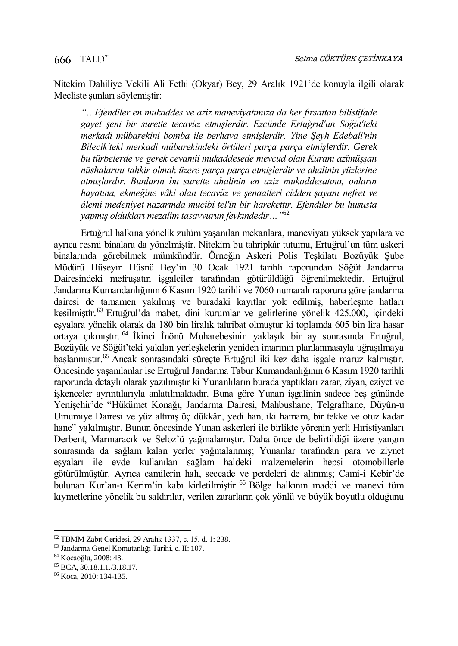Nitekim Dahiliye Vekili Ali Fethi (Okyar) Bey, 29 Aralık 1921'de konuyla ilgili olarak Mecliste şunları söylemiştir:

*"…Efendiler en mukaddes ve aziz maneviyatımıza da her fırsattan bilistifade gayet şeni bir surette tecavüz etmişlerdir. Ezcümle Ertuğrul'un Söğüt'teki merkadi mübarekini bomba ile berhava etmişlerdir. Yine Şeyh Edebali'nin Bilecik'teki merkadi mübarekindeki örtüleri parça parça etmişlerdir. Gerek bu türbelerde ve gerek cevamii mukaddesede mevcud olan Kuranı azîmüşşan nüshalarını tahkir olmak üzere parça parça etmişlerdir ve ahalinin yüzlerine atmışlardır. Bunların bu surette ahalinin en aziz mukaddesatına, onların hayatına, ekmeğine vâki olan tecavüz ve şenaatleri cidden şayanı nefret ve âlemi medeniyet nazarında mucibi tel'in bir harekettir. Efendiler bu hususta yapmış oldukları mezalim tasavvurun fevkındedir…"*<sup>62</sup>

Ertuğrul halkına yönelik zulüm yaşanılan mekanlara, maneviyatı yüksek yapılara ve ayrıca resmi binalara da yönelmiştir. Nitekim bu tahripkâr tutumu, Ertuğrul'un tüm askeri binalarında görebilmek mümkündür. Örneğin Askeri Polis Teşkilatı Bozüyük Şube Müdürü Hüseyin Hüsnü Bey'in 30 Ocak 1921 tarihli raporundan Söğüt Jandarma Dairesindeki mefruşatın işgalciler tarafından götürüldüğü öğrenilmektedir. Ertuğrul Jandarma Kumandanlığının 6 Kasım 1920 tarihli ve 7060 numaralı raporuna göre jandarma dairesi de tamamen yakılmış ve buradaki kayıtlar yok edilmiş, haberleşme hatları kesilmiştir.<sup>63</sup> Ertuğrul'da mabet, dini kurumlar ve gelirlerine yönelik 425.000, içindeki eşyalara yönelik olarak da 180 bin liralık tahribat olmuştur ki toplamda 605 bin lira hasar ortaya çıkmıştır. <sup>64</sup> İkinci İnönü Muharebesinin yaklaşık bir ay sonrasında Ertuğrul, Bozüyük ve Söğüt'teki yakılan yerleşkelerin yeniden imarının planlanmasıyla uğraşılmaya başlanmıştır.<sup>65</sup> Ancak sonrasındaki süreçte Ertuğrul iki kez daha işgale maruz kalmıştır. Öncesinde yaşanılanlar ise Ertuğrul Jandarma Tabur Kumandanlığının 6 Kasım 1920 tarihli raporunda detaylı olarak yazılmıştır ki Yunanlıların burada yaptıkları zarar, ziyan, eziyet ve işkenceler ayrıntılarıyla anlatılmaktadır. Buna göre Yunan işgalinin sadece beş gününde Yenişehir'de "Hükümet Konağı, Jandarma Dairesi, Mahbushane, Telgrafhane, Düyûn-u Umumiye Dairesi ve yüz altmış üç dükkân, yedi han, iki hamam, bir tekke ve otuz kadar hane" yakılmıştır. Bunun öncesinde Yunan askerleri ile birlikte yörenin yerli Hıristiyanları Derbent, Marmaracık ve Seloz'ü yağmalamıştır. Daha önce de belirtildiği üzere yangın sonrasında da sağlam kalan yerler yağmalanmış; Yunanlar tarafından para ve ziynet eşyaları ile evde kullanılan sağlam haldeki malzemelerin hepsi otomobillerle götürülmüştür. Ayrıca camilerin halı, seccade ve perdeleri de alınmış; Cami-i Kebir'de bulunan Kur'an-ı Kerim'in kabı kirletilmiştir. <sup>66</sup> Bölge halkının maddi ve manevi tüm kıymetlerine yönelik bu saldırılar, verilen zararların çok yönlü ve büyük boyutlu olduğunu

<sup>62</sup> TBMM Zabıt Ceridesi, 29 Aralık 1337, c. 15, d. 1: 238.

<sup>63</sup> Jandarma Genel Komutanlığı Tarihi, c. II: 107.

<sup>64</sup> Kocaoğlu, 2008: 43.

<sup>65</sup> BCA, 30.18.1.1./3.18.17.

<sup>66</sup> Koca, 2010: 134-135.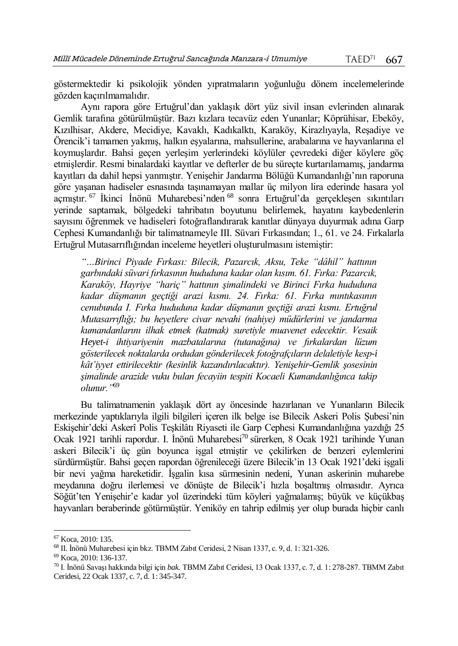göstermektedir ki psikolojik yönden yıpratmaların yoğunluğu dönem incelemelerinde gözden kaçırılmamalıdır.

Aynı rapora göre Ertuğrul'dan yaklaşık dört yüz sivil insan evlerinden alınarak Gemlik tarafına götürülmüştür. Bazı kızlara tecavüz eden Yunanlar; Köprühisar, Ebeköy, Kızılhisar, Akdere, Mecidiye, Kavaklı, Kadıkalktı, Karaköy, Kirazlıyayla, Reşadiye ve Örencik'i tamamen yakmış, halkın eşyalarına, mahsullerine, arabalarına ve hayvanlarına el koymuşlardır. Bahsi geçen yerleşim yerlerindeki köylüler çevredeki diğer köylere göç etmişlerdir. Resmi binalardaki kayıtlar ve defterler de bu süreçte kurtarılamamış, jandarma kayıtları da dahil hepsi yanmıştır. Yenişehir Jandarma Bölüğü Kumandanlığı'nın raporuna göre yaşanan hadiseler esnasında taşınamayan mallar üç milyon lira ederinde hasara yol açmıştır. <sup>67</sup> İkinci İnönü Muharebesi'nden <sup>68</sup> sonra Ertuğrul'da gerçekleşen sıkıntıları yerinde saptamak, bölgedeki tahribatın boyutunu belirlemek, hayatını kaybedenlerin sayısını öğrenmek ve hadiseleri fotoğraflandırarak kanıtlar dünyaya duyurmak adına Garp Cephesi Kumandanlığı bir talimatnameyle III. Süvari Fırkasından; 1., 61. ve 24. Fırkalarla Ertuğrul Mutasarrıflığından inceleme heyetleri oluşturulmasını istemiştir:

*"…Birinci Piyade Fırkası: Bilecik, Pazarcık, Aksu, Teke "dâhil" hattının garbındaki süvari fırkasının hududuna kadar olan kısım. 61. Fırka: Pazarcık, Karaköy, Hayriye "hariç" hattının şimalindeki ve Birinci Fırka hududuna kadar düşmanın geçtiği arazi kısmı. 24. Fırka: 61. Fırka mıntıkasının cenubunda I. Fırka hududuna kadar düşmanın geçtiği arazi kısmı. Ertuğrul Mutasarrıflığı; bu heyetlere civar nevahi (nahiye) müdürlerini ve jandarma kumandanlarını ilhak etmek (katmak) suretiyle muavenet edecektir. Vesaik Heyet-i ihtiyariyenin mazbatalarına (tutanağına) ve fırkalardan lüzum gösterilecek noktalarda ordudan gönderilecek fotoğrafçıların delaletiyle kesp-i kât'iyyet ettirilecektir (kesinlik kazandırılacaktır). Yenişehir-Gemlik şosesinin şimalinde arazide vuku bulan fecayiin tespiti Kocaeli Kumandanlığınca takip olunur."*<sup>69</sup>

Bu talimatnamenin yaklaşık dört ay öncesinde hazırlanan ve Yunanların Bilecik merkezinde yaptıklarıyla ilgili bilgileri içeren ilk belge ise Bilecik Askeri Polis Şubesi'nin Eskişehir'deki Askerî Polis Teşkilâtı Riyaseti ile Garp Cephesi Kumandanlığına yazdığı 25 Ocak 1921 tarihli rapordur. I. İnönü Muharebesi<sup>70</sup> sürerken, 8 Ocak 1921 tarihinde Yunan askeri Bilecik'i üç gün boyunca işgal etmiştir ve çekilirken de benzeri eylemlerini sürdürmüştür. Bahsi geçen rapordan öğrenileceği üzere Bilecik'in 13 Ocak 1921'deki işgali bir nevi yağma hareketidir. İşgalin kısa sürmesinin nedeni, Yunan askerinin muharebe meydanına doğru ilerlemesi ve dönüşte de Bilecik'i hızla boşaltmış olmasıdır. Ayrıca Söğüt'ten Yenişehir'e kadar yol üzerindeki tüm köyleri yağmalamış; büyük ve küçükbaş hayvanları beraberinde götürmüştür. Yeniköy en tahrip edilmiş yer olup burada hiçbir canlı

 $\overline{a}$ <sup>67</sup> Koca, 2010: 135.

<sup>68</sup> II. İnönü Muharebesi için bkz. TBMM Zabıt Ceridesi, 2 Nisan 1337, c. 9, d. 1: 321-326.

<sup>69</sup> Koca, 2010: 136-137.

<sup>70</sup> I. İnönü Savaşı hakkında bilgi için *bak.* TBMM Zabıt Ceridesi, 13 Ocak 1337, c. 7, d. 1: 278-287. TBMM Zabıt Ceridesi, 22 Ocak 1337, c. 7, d. 1: 345-347.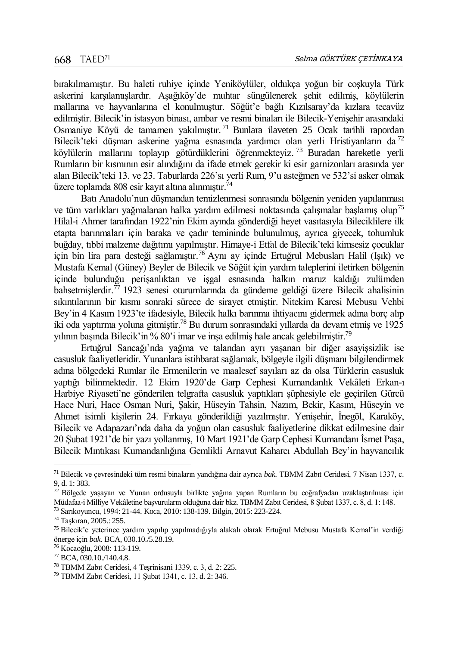bırakılmamıştır. Bu haleti ruhiye içinde Yeniköylüler, oldukça yoğun bir coşkuyla Türk askerini karşılamışlardır. Aşağıköy'de muhtar süngülenerek şehit edilmiş, köylülerin mallarına ve hayvanlarına el konulmuştur. Söğüt'e bağlı Kızılsaray'da kızlara tecavüz edilmiştir. Bilecik'in istasyon binası, ambar ve resmi binaları ile Bilecik-Yenişehir arasındaki Osmaniye Köyü de tamamen yakılmıştır. <sup>71</sup> Bunlara ilaveten 25 Ocak tarihli rapordan Bilecik'teki düşman askerine yağma esnasında yardımcı olan yerli Hristiyanların da <sup>72</sup> köylülerin mallarını toplayıp götürdüklerini öğrenmekteyiz. <sup>73</sup> Buradan hareketle yerli Rumların bir kısmının esir alındığını da ifade etmek gerekir ki esir garnizonları arasında yer alan Bilecik'teki 13. ve 23. Taburlarda 226'sı yerli Rum, 9'u asteğmen ve 532'si asker olmak üzere toplamda 808 esir kayıt altına alınmıştır.<sup>74</sup>

Batı Anadolu'nun düşmandan temizlenmesi sonrasında bölgenin yeniden yapılanması ve tüm varlıkları yağmalanan halka yardım edilmesi noktasında çalışmalar başlamış olup<sup>75</sup> Hilal-i Ahmer tarafından 1922'nin Ekim ayında gönderdiği heyet vasıtasıyla Bileciklilere ilk etapta barınmaları için baraka ve çadır temininde bulunulmuş, ayrıca giyecek, tohumluk buğday, tıbbi malzeme dağıtımı yapılmıştır. Himaye-i Etfal de Bilecik'teki kimsesiz çocuklar için bin lira para desteği sağlamıştır.<sup>76</sup> Aynı ay içinde Ertuğrul Mebusları Halil (Işık) ve Mustafa Kemal (Güney) Beyler de Bilecik ve Söğüt için yardım taleplerini iletirken bölgenin içinde bulunduğu perişanlıktan ve işgal esnasında halkın maruz kaldığı zulümden bahsetmislerdir.<sup>77</sup> 1923 senesi oturumlarında da gündeme geldiği üzere Bilecik ahalisinin sıkıntılarının bir kısmı sonraki sürece de sirayet etmiştir. Nitekim Karesi Mebusu Vehbi Bey'in 4 Kasım 1923'te ifadesiyle, Bilecik halkı barınma ihtiyacını gidermek adına borç alıp iki oda yaptırma yoluna gitmiştir.<sup>78</sup> Bu durum sonrasındaki yıllarda da devam etmiş ve 1925 yılının başında Bilecik'in % 80'i imar ve inşa edilmiş hale ancak gelebilmiştir.<sup>79</sup>

Ertuğrul Sancağı'nda yağma ve talandan ayrı yaşanan bir diğer asayişsizlik ise casusluk faaliyetleridir. Yunanlara istihbarat sağlamak, bölgeyle ilgili düşmanı bilgilendirmek adına bölgedeki Rumlar ile Ermenilerin ve maalesef sayıları az da olsa Türklerin casusluk yaptığı bilinmektedir. 12 Ekim 1920'de Garp Cephesi Kumandanlık Vekâleti Erkan-ı Harbiye Riyaseti'ne gönderilen telgrafta casusluk yaptıkları şüphesiyle ele geçirilen Gürcü Hace Nuri, Hace Osman Nuri, Şakir, Hüseyin Tahsin, Nazım, Bekir, Kasım, Hüseyin ve Ahmet isimli kişilerin 24. Fırkaya gönderildiği yazılmıştır. Yenişehir, İnegöl, Karaköy, Bilecik ve Adapazarı'nda daha da yoğun olan casusluk faaliyetlerine dikkat edilmesine dair 20 Şubat 1921'de bir yazı yollanmış, 10 Mart 1921'de Garp Cephesi Kumandanı İsmet Paşa, Bilecik Mıntıkası Kumandanlığına Gemlikli Arnavut Kaharcı Abdullah Bey'in hayvancılık

<sup>71</sup> Bilecik ve çevresindeki tüm resmi binaların yandığına dair ayrıca *bak.* TBMM Zabıt Ceridesi, 7 Nisan 1337, c. 9, d. 1: 383.

<sup>72</sup> Bölgede yaşayan ve Yunan ordusuyla birlikte yağma yapan Rumların bu coğrafyadan uzaklaştırılması için Müdafaa-i Millîye Vekâletine başvuruların olduğuna dair bkz. TBMM Zabıt Ceridesi, 8 Şubat 1337, c. 8, d. 1: 148.

<sup>73</sup> Sarıkoyuncu, 1994: 21-44. Koca, 2010: 138-139. Bilgin, 2015: 223-224.

<sup>74</sup> Taşkıran, 2005.: 255.

<sup>75</sup> Bilecik'e yeterince yardım yapılıp yapılmadığıyla alakalı olarak Ertuğrul Mebusu Mustafa Kemal'in verdiği önerge için *bak*. BCA, 030.10./5.28.19.

<sup>76</sup> Kocaoğlu, 2008: 113-119.

<sup>77</sup> BCA, 030.10./140.4.8.

<sup>78</sup> TBMM Zabıt Ceridesi, 4 Teşrinisani 1339, c. 3, d. 2: 225.

<sup>79</sup> TBMM Zabıt Ceridesi, 11 Şubat 1341, c. 13, d. 2: 346.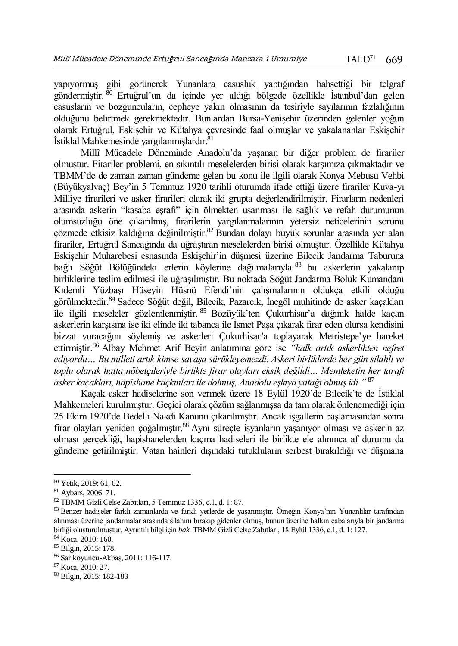yapıyormuş gibi görünerek Yunanlara casusluk yaptığından bahsettiği bir telgraf göndermiştir. <sup>80</sup> Ertuğrul'un da içinde yer aldığı bölgede özellikle İstanbul'dan gelen casusların ve bozguncuların, cepheye yakın olmasının da tesiriyle sayılarının fazlalığının olduğunu belirtmek gerekmektedir. Bunlardan Bursa-Yenişehir üzerinden gelenler yoğun olarak Ertuğrul, Eskişehir ve Kütahya çevresinde faal olmuşlar ve yakalananlar Eskişehir İstiklal Mahkemesinde yargılanmışlardır.<sup>81</sup>

Millî Mücadele Döneminde Anadolu'da yaşanan bir diğer problem de firariler olmuştur. Firariler problemi, en sıkıntılı meselelerden birisi olarak karşımıza çıkmaktadır ve TBMM'de de zaman zaman gündeme gelen bu konu ile ilgili olarak Konya Mebusu Vehbi (Büyükyalvaç) Bey'in 5 Temmuz 1920 tarihli oturumda ifade ettiği üzere firariler Kuva-yı Millîye firarileri ve asker firarileri olarak iki grupta değerlendirilmiştir. Firarların nedenleri arasında askerin "kasaba eşrafı" için ölmekten usanması ile sağlık ve refah durumunun olumsuzluğu öne çıkarılmış, firarilerin yargılanmalarının yetersiz neticelerinin sorunu çözmede etkisiz kaldığına değinilmiştir.<sup>82</sup> Bundan dolayı büyük sorunlar arasında yer alan firariler, Ertuğrul Sancağında da uğraştıran meselelerden birisi olmuştur. Özellikle Kütahya Eskişehir Muharebesi esnasında Eskişehir'in düşmesi üzerine Bilecik Jandarma Taburuna bağlı Söğüt Bölüğündeki erlerin köylerine dağılmalarıyla <sup>83</sup> bu askerlerin yakalanıp birliklerine teslim edilmesi ile uğraşılmıştır. Bu noktada Söğüt Jandarma Bölük Kumandanı Kıdemli Yüzbaşı Hüseyin Hüsnü Efendi'nin çalışmalarının oldukça etkili olduğu görülmektedir.<sup>84</sup> Sadece Söğüt değil, Bilecik, Pazarcık, İnegöl muhitinde de asker kaçakları ile ilgili meseleler gözlemlenmiştir. 85 Bozüyük'ten Cukurhisar'a dağınık halde kaçan askerlerin karşısına ise iki elinde iki tabanca ile İsmet Paşa çıkarak firar eden olursa kendisini bizzat vuracağını söylemiş ve askerleri Çukurhisar'a toplayarak Metristepe'ye hareket ettirmiştir.<sup>86</sup> Albay Mehmet Arif Beyin anlatımına göre ise *"halk artık askerlikten nefret ediyordu… Bu milleti artık kimse savaşa sürükleyemezdi. Askeri birliklerde her gün silahlı ve toplu olarak hatta nöbetçileriyle birlikte firar olayları eksik değildi… Memleketin her tarafı asker kaçakları, hapishane kaçkınları ile dolmuş, Anadolu eşkıya yatağı olmuş idi."* <sup>87</sup>

Kaçak asker hadiselerine son vermek üzere 18 Eylül 1920'de Bilecik'te de İstiklal Mahkemeleri kurulmuştur. Geçici olarak çözüm sağlanmışsa da tam olarak önlenemediği için 25 Ekim 1920'de Bedelli Nakdi Kanunu çıkarılmıştır. Ancak işgallerin başlamasından sonra firar olayları yeniden çoğalmıştır.<sup>88</sup> Aynı süreçte isyanların yaşanıyor olması ve askerin az olması gerçekliği, hapishanelerden kaçma hadiseleri ile birlikte ele alınınca af durumu da gündeme getirilmiştir. Vatan hainleri dışındaki tutukluların serbest bırakıldığı ve düşmana

l

<sup>80</sup> Yetik, 2019: 61, 62.

<sup>81</sup> Aybars, 2006: 71.

<sup>82</sup> TBMM Gizli Celse Zabıtları, 5 Temmuz 1336, c.1, d. 1: 87.

<sup>83</sup> Benzer hadiseler farklı zamanlarda ve farklı yerlerde de yaşanmıştır. Örneğin Konya'nın Yunanlılar tarafından alınması üzerine jandarmalar arasında silahını bırakıp gidenler olmuş, bunun üzerine halkın çabalarıyla bir jandarma birliği oluşturulmuştur. Ayrıntılı bilgi için *bak.* TBMM Gizli Celse Zabıtları, 18 Eylül 1336, c.1, d. 1: 127.

<sup>84</sup> Koca, 2010: 160.

<sup>85</sup> Bilgin, 2015: 178.

<sup>86</sup> Sarıkoyuncu-Akbaş, 2011: 116-117.

<sup>87</sup> Koca, 2010: 27.

<sup>88</sup> Bilgin, 2015: 182-183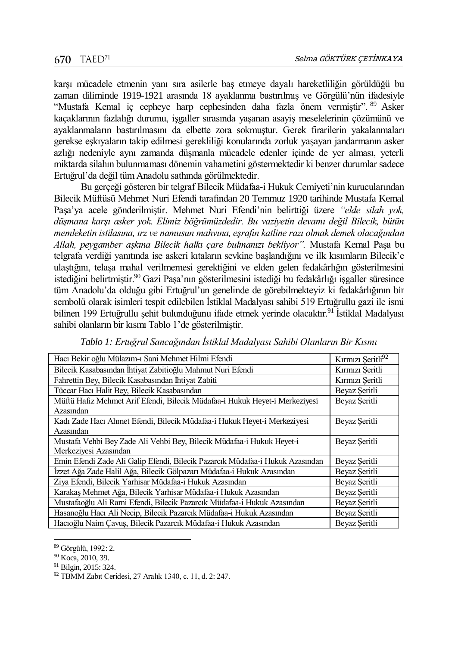karşı mücadele etmenin yanı sıra asilerle baş etmeye dayalı hareketliliğin görüldüğü bu zaman diliminde 1919-1921 arasında 18 ayaklanma bastırılmış ve Görgülü'nün ifadesiyle "Mustafa Kemal iç cepheye harp cephesinden daha fazla önem vermiştir". <sup>89</sup> Asker kaçaklarının fazlalığı durumu, işgaller sırasında yaşanan asayiş meselelerinin çözümünü ve ayaklanmaların bastırılmasını da elbette zora sokmuştur. Gerek firarilerin yakalanmaları gerekse eşkıyaların takip edilmesi gerekliliği konularında zorluk yaşayan jandarmanın asker azlığı nedeniyle aynı zamanda düşmanla mücadele edenler içinde de yer alması, yeterli miktarda silahın bulunmaması dönemin vahametini göstermektedir ki benzer durumlar sadece Ertuğrul'da değil tüm Anadolu sathında görülmektedir.

Bu gerçeği gösteren bir telgraf Bilecik Müdafaa-i Hukuk Cemiyeti'nin kurucularından Bilecik Müftüsü Mehmet Nuri Efendi tarafından 20 Temmuz 1920 tarihinde Mustafa Kemal Paşa'ya acele gönderilmiştir. Mehmet Nuri Efendi'nin belirttiği üzere *"elde silah yok, düşmana karşı asker yok. Elimiz böğrümüzdedir. Bu vaziyetin devamı değil Bilecik, bütün memleketin istilasına, ırz ve namusun mahvına, eşrafın katline razı olmak demek olacağından Allah, peygamber aşkına Bilecik halkı çare bulmanızı bekliyor".* Mustafa Kemal Paşa bu telgrafa verdiği yanıtında ise askeri kıtaların sevkine başlandığını ve ilk kısımların Bilecik'e ulaştığını, telaşa mahal verilmemesi gerektiğini ve elden gelen fedakârlığın gösterilmesini istediğini belirtmiştir.<sup>90</sup> Gazi Paşa'nın gösterilmesini istediği bu fedakârlığı işgaller süresince tüm Anadolu'da olduğu gibi Ertuğrul'un genelinde de görebilmekteyiz ki fedakârlığının bir sembolü olarak isimleri tespit edilebilen İstiklal Madalyası sahibi 519 Ertuğrullu gazi ile ismi bilinen 199 Ertuğrullu sehit bulunduğunu ifade etmek yerinde olacaktır.<sup>91</sup> İstiklal Madalyası sahibi olanların bir kısmı Tablo 1'de gösterilmiştir.

| Hacı Bekir oğlu Mülazım-ı Sani Mehmet Hilmi Efendi                            | Kırmızı Şeritli92 |  |
|-------------------------------------------------------------------------------|-------------------|--|
| Bilecik Kasabasından İhtiyat Zabitioğlu Mahmut Nuri Efendi                    | Kırmızı Şeritli   |  |
| Fahrettin Bey, Bilecik Kasabasından İhtiyat Zabiti                            | Kırmızı Seritli   |  |
| Tüccar Hacı Halit Bey, Bilecik Kasabasından                                   | Beyaz Şeritli     |  |
| Müftü Hafiz Mehmet Arif Efendi, Bilecik Müdafaa-i Hukuk Heyet-i Merkeziyesi   | Beyaz Şeritli     |  |
| Azasından                                                                     |                   |  |
| Kadı Zade Hacı Ahmet Efendi, Bilecik Müdafaa-i Hukuk Heyet-i Merkeziyesi      | Beyaz Şeritli     |  |
| Azasından                                                                     |                   |  |
| Mustafa Vehbi Bey Zade Ali Vehbi Bey, Bilecik Müdafaa-i Hukuk Heyet-i         | Beyaz Seritli     |  |
| Merkeziyesi Azasından                                                         |                   |  |
| Emin Efendi Zade Ali Galip Efendi, Bilecik Pazarcık Müdafaa-i Hukuk Azasından | Beyaz Seritli     |  |
| İzzet Ağa Zade Halil Ağa, Bilecik Gölpazarı Müdafaa-i Hukuk Azasından         | Beyaz Seritli     |  |
| Ziya Efendi, Bilecik Yarhisar Müdafaa-i Hukuk Azasından                       | Beyaz Seritli     |  |
| Karakas Mehmet Ağa, Bilecik Yarhisar Müdafaa-i Hukuk Azasından                | Beyaz Seritli     |  |
| Mustafaoğlu Ali Rami Efendi, Bilecik Pazarcık Müdafaa-i Hukuk Azasından       | Beyaz Seritli     |  |
| Hasanoğlu Hacı Ali Necip, Bilecik Pazarcık Müdafaa-i Hukuk Azasından          | Beyaz Seritli     |  |
| Hacıoğlu Naim Cavus, Bilecik Pazarcık Müdafaa-i Hukuk Azasından               | Beyaz Seritli     |  |

|  | Tablo 1: Ertuğrul Sancağından İstiklal Madalyası Sahibi Olanların Bir Kısmı |  |  |  |
|--|-----------------------------------------------------------------------------|--|--|--|
|  |                                                                             |  |  |  |

<sup>89</sup> Görgülü, 1992: 2.

<sup>&</sup>lt;sup>90</sup> Koca, 2010, 39.

<sup>91</sup> Bilgin, 2015: 324.

<sup>92</sup> TBMM Zabıt Ceridesi, 27 Aralık 1340, c. 11, d. 2: 247.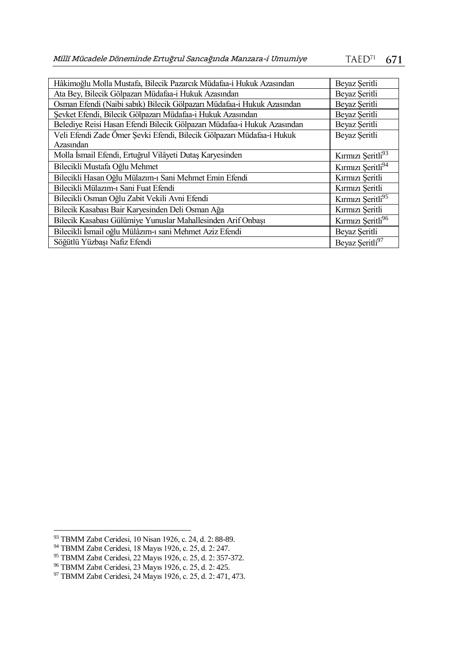| Hâkimoğlu Molla Mustafa, Bilecik Pazarcık Müdafaa-i Hukuk Azasından     | Beyaz Seritli                 |
|-------------------------------------------------------------------------|-------------------------------|
| Ata Bey, Bilecik Gölpazarı Müdafaa-i Hukuk Azasından                    | Beyaz Seritli                 |
| Osman Efendi (Naibi sabik) Bilecik Gölpazarı Müdafaa-i Hukuk Azasından  | Beyaz Seritli                 |
| Şevket Efendi, Bilecik Gölpazarı Müdafaa-i Hukuk Azasından              | Beyaz Şeritli                 |
| Belediye Reisi Hasan Efendi Bilecik Gölpazarı Müdafaa-i Hukuk Azasından | Beyaz Seritli                 |
| Veli Efendi Zade Ömer Şevki Efendi, Bilecik Gölpazarı Müdafaa-i Hukuk   | Beyaz Şeritli                 |
| Azasından                                                               |                               |
| Molla İsmail Efendi, Ertuğrul Vilâyeti Dutaş Karyesinden                | Kırmızı Şeritli <sup>93</sup> |
| Bilecikli Mustafa Oğlu Mehmet                                           | Kırmızı Şeritli <sup>94</sup> |
| Bilecikli Hasan Oğlu Mülazım-ı Sanı Mehmet Emin Efendi                  | Kırmızı Seritli               |
| Bilecikli Mülazım-ı Sani Fuat Efendi                                    | Kırmızı Seritli               |
| Bilecikli Osman Oğlu Zabit Vekili Avni Efendi                           | Kırmızı Şeritli95             |
| Bilecik Kasabası Bair Karyesinden Deli Osman Ağa                        | Kırmızı Seritli               |
| Bilecik Kasabası Gülümiye Yunuslar Mahallesinden Arif Onbaşı            | Kırmızı Şeritli96             |
| Bilecikli İsmail oğlu Mülâzım-ı sani Mehmet Aziz Efendi                 | Beyaz Seritli                 |
| Söğütlü Yüzbası Nafiz Efendi                                            | Beyaz Seritli97               |

<sup>93</sup> TBMM Zabıt Ceridesi, 10 Nisan 1926, c. 24, d. 2: 88-89.

<sup>94</sup> TBMM Zabıt Ceridesi, 18 Mayıs 1926, c. 25, d. 2: 247.

<sup>95</sup> TBMM Zabıt Ceridesi, 22 Mayıs 1926, c. 25, d. 2: 357-372.

<sup>96</sup> TBMM Zabıt Ceridesi, 23 Mayıs 1926, c. 25, d. 2: 425.

<sup>97</sup> TBMM Zabıt Ceridesi, 24 Mayıs 1926, c. 25, d. 2: 471, 473.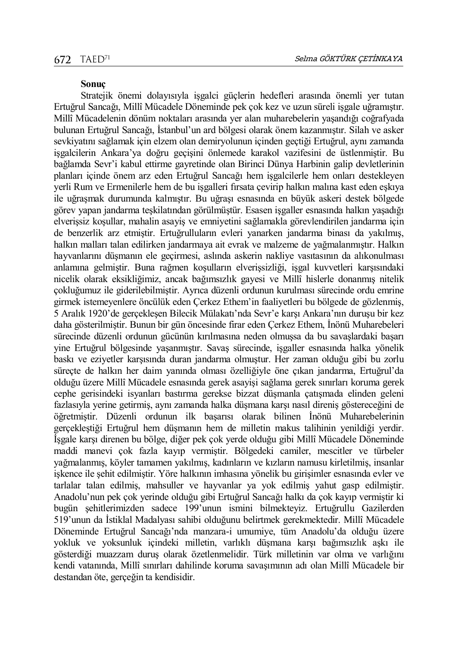# **Sonuç**

Stratejik önemi dolayısıyla işgalci güçlerin hedefleri arasında önemli yer tutan Ertuğrul Sancağı, Millî Mücadele Döneminde pek çok kez ve uzun süreli işgale uğramıştır. Millî Mücadelenin dönüm noktaları arasında yer alan muharebelerin yaşandığı coğrafyada bulunan Ertuğrul Sancağı, İstanbul'un ard bölgesi olarak önem kazanmıştır. Silah ve asker sevkiyatını sağlamak için elzem olan demiryolunun içinden geçtiği Ertuğrul, aynı zamanda işgalcilerin Ankara'ya doğru geçişini önlemede karakol vazifesini de üstlenmiştir. Bu bağlamda Sevr'i kabul ettirme gayretinde olan Birinci Dünya Harbinin galip devletlerinin planları içinde önem arz eden Ertuğrul Sancağı hem işgalcilerle hem onları destekleyen yerli Rum ve Ermenilerle hem de bu işgalleri fırsata çevirip halkın malına kast eden eşkıya ile uğraşmak durumunda kalmıştır. Bu uğraşı esnasında en büyük askeri destek bölgede görev yapan jandarma teşkilatından görülmüştür. Esasen işgaller esnasında halkın yaşadığı elverişsiz koşullar, mahalin asayiş ve emniyetini sağlamakla görevlendirilen jandarma için de benzerlik arz etmiştir. Ertuğrulluların evleri yanarken jandarma binası da yakılmış, halkın malları talan edilirken jandarmaya ait evrak ve malzeme de yağmalanmıştır. Halkın hayvanlarını düşmanın ele geçirmesi, aslında askerin nakliye vasıtasının da alıkonulması anlamına gelmiştir. Buna rağmen koşulların elverişsizliği, işgal kuvvetleri karşısındaki nicelik olarak eksikliğimiz, ancak bağımsızlık gayesi ve Millî hislerle donanmış nitelik çokluğumuz ile giderilebilmiştir. Ayrıca düzenli ordunun kurulması sürecinde ordu emrine girmek istemeyenlere öncülük eden Çerkez Ethem'in faaliyetleri bu bölgede de gözlenmiş, 5 Aralık 1920'de gerçekleşen Bilecik Mülakatı'nda Sevr'e karşı Ankara'nın duruşu bir kez daha gösterilmiştir. Bunun bir gün öncesinde firar eden Çerkez Ethem, İnönü Muharebeleri sürecinde düzenli ordunun gücünün kırılmasına neden olmuşsa da bu savaşlardaki başarı yine Ertuğrul bölgesinde yaşanmıştır. Savaş sürecinde, işgaller esnasında halka yönelik baskı ve eziyetler karşısında duran jandarma olmuştur. Her zaman olduğu gibi bu zorlu süreçte de halkın her daim yanında olması özelliğiyle öne çıkan jandarma, Ertuğrul'da olduğu üzere Millî Mücadele esnasında gerek asayişi sağlama gerek sınırları koruma gerek cephe gerisindeki isyanları bastırma gerekse bizzat düşmanla çatışmada elinden geleni fazlasıyla yerine getirmiş, aynı zamanda halka düşmana karşı nasıl direniş göstereceğini de öğretmiştir. Düzenli ordunun ilk başarısı olarak bilinen İnönü Muharebelerinin gerçekleştiği Ertuğrul hem düşmanın hem de milletin makus talihinin yenildiği yerdir. İşgale karşı direnen bu bölge, diğer pek çok yerde olduğu gibi Millî Mücadele Döneminde maddi manevi çok fazla kayıp vermiştir. Bölgedeki camiler, mescitler ve türbeler yağmalanmış, köyler tamamen yakılmış, kadınların ve kızların namusu kirletilmiş, insanlar işkence ile şehit edilmiştir. Yöre halkının imhasına yönelik bu girişimler esnasında evler ve tarlalar talan edilmiş, mahsuller ve hayvanlar ya yok edilmiş yahut gasp edilmiştir. Anadolu'nun pek çok yerinde olduğu gibi Ertuğrul Sancağı halkı da çok kayıp vermiştir ki bugün şehitlerimizden sadece 199'unun ismini bilmekteyiz. Ertuğrullu Gazilerden 519'unun da İstiklal Madalyası sahibi olduğunu belirtmek gerekmektedir. Millî Mücadele Döneminde Ertuğrul Sancağı'nda manzara-i umumiye, tüm Anadolu'da olduğu üzere yokluk ve yoksunluk içindeki milletin, varlıklı düşmana karşı bağımsızlık aşkı ile gösterdiği muazzam duruş olarak özetlenmelidir. Türk milletinin var olma ve varlığını kendi vatanında, Millî sınırları dahilinde koruma savaşımının adı olan Millî Mücadele bir destandan öte, gerçeğin ta kendisidir.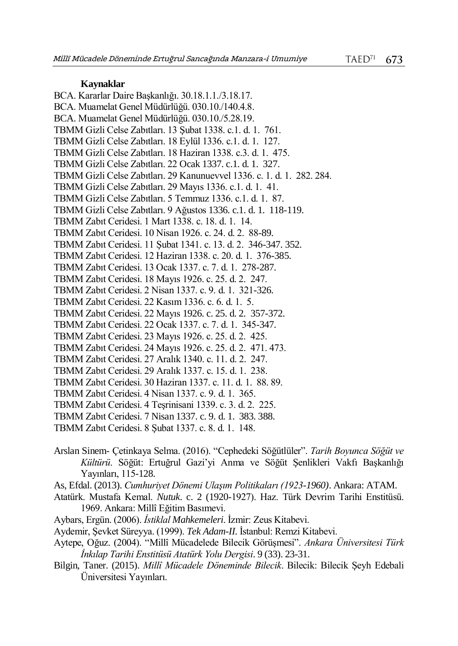# **Kaynaklar**

BCA. Kararlar Daire Başkanlığı. 30.18.1.1./3.18.17. BCA. Muamelat Genel Müdürlüğü. 030.10./140.4.8. BCA. Muamelat Genel Müdürlüğü. 030.10./5.28.19. TBMM Gizli Celse Zabıtları. 13 Şubat 1338. c.1. d. 1. 761. TBMM Gizli Celse Zabıtları. 18 Eylül 1336. c.1. d. 1. 127. TBMM Gizli Celse Zabıtları. 18 Haziran 1338. c.3. d. 1. 475. TBMM Gizli Celse Zabıtları. 22 Ocak 1337. c.1. d. 1. 327. TBMM Gizli Celse Zabıtları. 29 Kanunuevvel 1336. c. 1. d. 1. 282. 284. TBMM Gizli Celse Zabıtları. 29 Mayıs 1336. c.1. d. 1. 41. TBMM Gizli Celse Zabıtları. 5 Temmuz 1336. c.1. d. 1. 87. TBMM Gizli Celse Zabıtları. 9 Ağustos 1336. c.1. d. 1. 118-119. TBMM Zabıt Ceridesi. 1 Mart 1338. c. 18. d. 1. 14. TBMM Zabıt Ceridesi. 10 Nisan 1926. c. 24. d. 2. 88-89. TBMM Zabıt Ceridesi. 11 Şubat 1341. c. 13. d. 2. 346-347. 352. TBMM Zabıt Ceridesi. 12 Haziran 1338. c. 20. d. 1. 376-385. TBMM Zabıt Ceridesi. 13 Ocak 1337. c. 7. d. 1. 278-287. TBMM Zabıt Ceridesi. 18 Mayıs 1926. c. 25. d. 2. 247. TBMM Zabıt Ceridesi. 2 Nisan 1337. c. 9. d. 1. 321-326. TBMM Zabıt Ceridesi. 22 Kasım 1336. c. 6. d. 1. 5. TBMM Zabıt Ceridesi. 22 Mayıs 1926. c. 25. d. 2. 357-372. TBMM Zabıt Ceridesi. 22 Ocak 1337. c. 7. d. 1. 345-347. TBMM Zabıt Ceridesi. 23 Mayıs 1926. c. 25. d. 2. 425. TBMM Zabıt Ceridesi. 24 Mayıs 1926. c. 25. d. 2. 471. 473. TBMM Zabıt Ceridesi. 27 Aralık 1340. c. 11. d. 2. 247. TBMM Zabıt Ceridesi. 29 Aralık 1337. c. 15. d. 1. 238. TBMM Zabıt Ceridesi. 30 Haziran 1337. c. 11. d. 1. 88. 89. TBMM Zabıt Ceridesi. 4 Nisan 1337. c. 9. d. 1. 365. TBMM Zabıt Ceridesi. 4 Teşrinisani 1339. c. 3. d. 2. 225.

- TBMM Zabıt Ceridesi. 7 Nisan 1337. c. 9. d. 1. 383. 388.
- TBMM Zabıt Ceridesi. 8 Şubat 1337. c. 8. d. 1. 148.
- Arslan Sinem- Çetinkaya Selma. (2016). "Cephedeki Söğütlüler". *Tarih Boyunca Söğüt ve Kültürü*. Söğüt: Ertuğrul Gazi'yi Anma ve Söğüt Şenlikleri Vakfı Başkanlığı Yayınları, 115-128.
- As, Efdal. (2013). *Cumhuriyet Dönemi Ulaşım Politikaları (1923-1960)*. Ankara: ATAM.
- Atatürk. Mustafa Kemal. *Nutuk*. c. 2 (1920-1927). Haz. Türk Devrim Tarihi Enstitüsü. 1969. Ankara: Millî Eğitim Basımevi.
- Aybars, Ergün. (2006). *İstiklal Mahkemeleri*. İzmir: Zeus Kitabevi.
- Aydemir, Şevket Süreyya. (1999). *Tek Adam-II.* İstanbul: Remzi Kitabevi.
- Aytepe, Oğuz. (2004). "Millî Mücadelede Bilecik Görüşmesi". *Ankara Üniversitesi Türk İnkılap Tarihi Enstitüsü Atatürk Yolu Dergisi*. 9 (33). 23-31.
- Bilgin, Taner. (2015). *Millî Mücadele Döneminde Bilecik*. Bilecik: Bilecik Şeyh Edebali Üniversitesi Yayınları.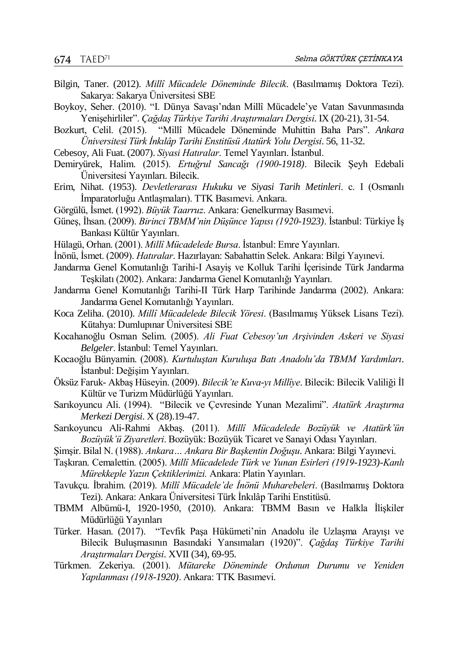- Bilgin, Taner. (2012). *Millî Mücadele Döneminde Bilecik*. (Basılmamış Doktora Tezi). Sakarya: Sakarya Üniversitesi SBE
- Boykoy, Seher. (2010). "I. Dünya Savaşı'ndan Millî Mücadele'ye Vatan Savunmasında Yenişehirliler". *Çağdaş Türkiye Tarihi Araştırmaları Dergisi*. IX (20-21), 31-54.
- Bozkurt, Celil. (2015). "Millî Mücadele Döneminde Muhittin Baha Pars". *Ankara Üniversitesi Türk İnkılâp Tarihi Enstitüsü Atatürk Yolu Dergisi*. 56, 11-32.
- Cebesoy, Ali Fuat. (2007). *Siyasi Hatıralar*. Temel Yayınları. İstanbul.
- Demiryürek, Halim. (2015). *Ertuğrul Sancağı (1900-1918)*. Bilecik Şeyh Edebali Üniversitesi Yayınları. Bilecik.
- Erim, Nihat. (1953). *Devletlerarası Hukuku ve Siyasi Tarih Metinleri*. c. I (Osmanlı İmparatorluğu Antlaşmaları). TTK Basımevi. Ankara.
- Görgülü, İsmet. (1992). *Büyük Taarruz*. Ankara: Genelkurmay Basımevi.
- Güneş, İhsan. (2009). *Birinci TBMM'nin Düşünce Yapısı (1920-1923)*. İstanbul: Türkiye İş Bankası Kültür Yayınları.
- Hülagü, Orhan. (2001). *Millî Mücadelede Bursa*. İstanbul: Emre Yayınları.
- İnönü, İsmet. (2009). *Hatıralar*. Hazırlayan: Sabahattin Selek. Ankara: Bilgi Yayınevi.
- Jandarma Genel Komutanlığı Tarihi-I Asayiş ve Kolluk Tarihi İçerisinde Türk Jandarma Teşkilatı (2002). Ankara: Jandarma Genel Komutanlığı Yayınları.
- Jandarma Genel Komutanlığı Tarihi-II Türk Harp Tarihinde Jandarma (2002). Ankara: Jandarma Genel Komutanlığı Yayınları.
- Koca Zeliha. (2010). *Millî Mücadelede Bilecik Yöresi*. (Basılmamış Yüksek Lisans Tezi). Kütahya: Dumlupınar Üniversitesi SBE
- Kocahanoğlu Osman Selim. (2005). *Ali Fuat Cebesoy'un Arşivinden Askeri ve Siyasi Belgeler*. İstanbul: Temel Yayınları.
- Kocaoğlu Bünyamin. (2008). *Kurtuluştan Kuruluşa Batı Anadolu'da TBMM Yardımları*. İstanbul: Değişim Yayınları.
- Öksüz Faruk- Akbaş Hüseyin. (2009). *Bilecik'te Kuva-yı Millîye*. Bilecik: Bilecik Valiliği İl Kültür ve Turizm Müdürlüğü Yayınları.
- Sarıkoyuncu Ali. (1994). "Bilecik ve Çevresinde Yunan Mezalimi". *Atatürk Araştırma Merkezi Dergisi*. X (28).19-47.
- Sarıkoyuncu Ali-Rahmi Akbaş. (2011). *Millî Mücadelede Bozüyük ve Atatürk'ün Bozüyük'ü Ziyaretleri*. Bozüyük: Bozüyük Ticaret ve Sanayi Odası Yayınları.
- Şimşir. Bilal N. (1988). *Ankara… Ankara Bir Başkentin Doğuşu*. Ankara: Bilgi Yayınevi.
- Taşkıran. Cemalettin. (2005). *Millî Mücadelede Türk ve Yunan Esirleri (1919-1923)-Kanlı Mürekkeple Yazın Çektiklerimizi.* Ankara: Platin Yayınları.
- Tavukçu. İbrahim. (2019). *Millî Mücadele'de İnönü Muharebeleri*. (Basılmamış Doktora Tezi). Ankara: Ankara Üniversitesi Türk İnkılâp Tarihi Enstitüsü.
- TBMM Albümü-I, 1920-1950, (2010). Ankara: TBMM Basın ve Halkla İlişkiler Müdürlüğü Yayınları
- Türker. Hasan. (2017). "Tevfik Paşa Hükümeti'nin Anadolu ile Uzlaşma Arayışı ve Bilecik Buluşmasının Basındaki Yansımaları (1920)". *Çağdaş Türkiye Tarihi Araştırmaları Dergisi*. XVII (34), 69-95.
- Türkmen. Zekeriya. (2001). *Mütareke Döneminde Ordunun Durumu ve Yeniden Yapılanması (1918-1920)*. Ankara: TTK Basımevi.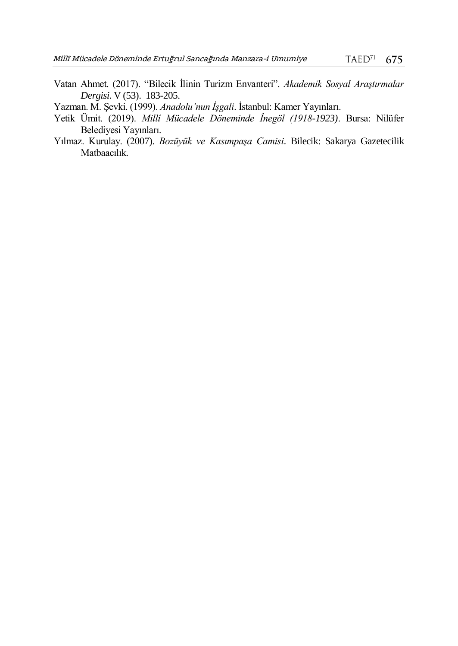Vatan Ahmet. (2017). "Bilecik İlinin Turizm Envanteri". *Akademik Sosyal Araştırmalar Dergisi*. V (53). 183-205.

Yazman. M. Şevki. (1999). *Anadolu'nun İşgali*. İstanbul: Kamer Yayınları.

- Yetik Ümit. (2019). *Millî Mücadele Döneminde İnegöl (1918-1923)*. Bursa: Nilüfer Belediyesi Yayınları.
- Yılmaz. Kurulay. (2007). *Bozüyük ve Kasımpaşa Camisi*. Bilecik: Sakarya Gazetecilik Matbaacılık.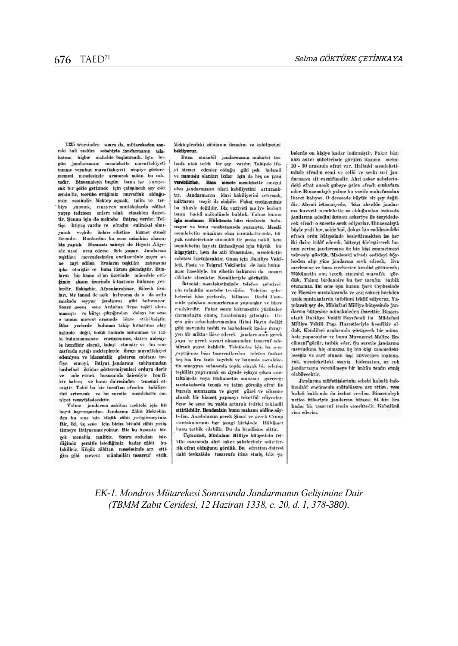1335 senesinden sonra da, mütarekeden sonraki hali mafûm sebebiyle jandarmanın ıslahatına hiçbir mahalde başlanmadı. İste bu gün jandarmanın memlekette muvaffakiyeti tamme vevahut muvaffakıyeti nispiye gösterememesi meselesinde aranaeak nokta, bu nok tadır. Binaenslevh bugün bunu ise varayacak bir sekle getirmek için çalışılacak sey eski zemindir, teerübe ettiğimiz muvaffak olduğu muz zemindir. Mektep açmak, talim ve ter hive yapmak, muayyen muntakalarda sdahat vapip tedrieen onlari islah etmekten ibarettir. Şunun için de mektebe ihtiyaç vardır. Teftise ihtiyaç vardır ve efradın suiimisal olma yaeak veçhile ikdarı eihetine hizmet etmek lâsmalur. Bunlandan hu vana mümkün olanmu biz yaptık. Hususatı saireyi de Heyeti Aliyeniz nasıl arzu ederse övle vapar. Jandarma teskilâti meveudesinden eneümeniniz geçen sene zavi edilen livaların teskilâtı zabıtasını ipka etmiştir ve buna lüzum görmüştür. Bun ların bir kısmı el'an üzerinde mücadele etti *čimiz* aksam üzerinde kıtaatınız bulunan verlerdir. Eskişehir, Afyonkarahisar, Bilecik liva ları, bir tanesi de açık kalıyorsa da o da ordu emrinde seyyar jandarma gibi bulunuyor. sene Ardahan liyası teskil olun-Sonra gecen mamıstı ve bütce cıktığından dolayı bu sene o umum meveut arasında idare ettirilmiştir. Bâzı yerlerde bulunan takip kıtaatının alay halinde değil, bölük halinde bulunması ve fazla bulunmamasını eneümeniniz, dairei aidesiy le hemfikir olarak, kabul etmistir ve bu sen zarfında açtığı mekteplerde ibrazı muvaffakiyet edemiyen ve idaresizlik gösteren zabitanı tasfive etmevi ihtiyat jandarma zahitanından hashelhal iktidar gösteremiyenleri orduya devir iade etmek hususunda dairesiyle hemfikir kalmış ve bunu dairesinden temenni etmiştir. Tabiî bu bir taraftan efradın kabiliyetini artıracak ve bu suretle memlekette emniyet tezayüdedeeektir.

Yalnız jandarma zabitan mektebi için bir kayıt koymuşüzdur. Jandarma Zâbit Mektebin den bu sene icin küçük zâbit yetiştirmeyiniz. Bir, iki, üç sene için bizim bittabi zâbit yetiş tirmeve ihtivacınız yoktur. Biz bu hususta birmenabia malikiz. Sonra ordudan isteeok diğimiz şeraitle istediğimiz kadar zâbit bulabiliriz Kücük zâhitan meselesinde arz ettičim gibi meyeut münhallâtı tasarruf ettik. Mekteplerdeki zâbitanın ikmalını ve kabiliyetinl beklivoruz

Buna mukabil jandarmanın mükâfat faslında ufak tefek bir sey vardır. Takipde ifayi hizmet edenler olduğu gibi pek kıdemli ve namuslu olanları ikdar için de bes on para vershilirler Essa mesele memlekette mevent olan jandarmanın idari kabilivetini artırmaktır. Jandarmanın idari kahiliyetini setremak miktarını sezvit ile olabilir. Fakat enefimeninis bu fikirde değildir. Biz vaziveti maliye icabatı bunu haddi makulunde bulduk. Yalnız bunun için encümen Hükümete bâzı ricalarda bulunuyor ve bunu mazbatasında yazmıştır. Meselâ memleketin mümkün olan muntakalarında, büyük caddelerinde otomobil ile posta nakli, hem nemleketin hayatı iktisadiyesi için büyük hir küsavistir, hem de atlı ifnasından, memleketin zabītasi kurtulacaktīr. Onun iein Dahilive Vekā leti, Posta ve Telgraf Vekâletini de haiz bulunması hasebiyle, bu cihetin imkânını da nazarı dikkate alaeaktır. Kendileriyle görüştük.

Ikineisi; memleketimizde telefon şebekesinin mümkün mertebe tevsüdir. Telefon şebekelerini bâzı verlerde, bilhassa Harbi Umu mide cabskan mempelaemtz vannaslar ve idare etmislerdir. Fakat sonra hakmasızlık vüzünden darmadağın olmus, harabolmus gitmistir. Gecen gün arkadaslarımızdan Hilmi Bevin dediği gibi mevendu teshit ve jeabedeeek kadar muayyen bir miktar ilâve ederek jandarmanın gerek yaya ve gerek suvari aksamından tasarruf edebilmek gayet kabildir. Telefonlar icin bu sene vaptığımız házı tasarruflardan telefon faslını beş hin lira fazla koyduk ve bununla memleketin muayyen sahasında toplu olarak bir telefor teşkilâtı yaptırarak en ziyade eşkıya eıkan mutakalarda veya Hükümetin münasip göreceği mıntakalarda tensik ve talim görmüs efrat ile burada muntazam ve gayet güzel ve nümun olarak bir hizmet vapmavı tekeffül edivorlar. Sene be sene bu yolda artarak tedrici tekâmül ettirilebilir. Bendenizin bunu makamı aidine sövledim. Anadolunun gerek Simal ve gerek Cenup mıntakalarının her hangi birisinde Hükümet bunu tatbik edebilir. Bu da kendisine aittir.

Ücüncüsü. Müdafaai Millive bütcesinin tetkiki esnasında ahzi asker şubelerinde müteferrik efrat olduğunu gördük. Bu efrattan dairesi dahi fevkalâde tasarrufa itina etmiş, bâzı şubelerde on kisiye kadar indirmistir. Fakat bâzı ahzi asker subelerinde görülen lüzuma mebni 10 - 30 arasında efrat var. Halbuki memleketimizde efradın cemi ve celbi ve sevkı sırf jandarmaya ait vazaiftendir. Ahzi asker subelerindeki efrat ancak şubeye gelen efradı muhafaza eder. Binaenaleyh yalnız bu vazife muhafazadan ibaret kalıyor. O derecede büyük bir şey değildir. Ahvali istisnaiyede, bâzı ahvalde jandarma kuvyeti memlekette az olduğundan jeahında jandarma adedini kıtaatı sekeriye ile tervidede. rek efradı o surette sevk ediyorlar. Binaenalevh böyle yedi bin, sekiz bin, dokuz bin raddesindeki ofradı ardu hütegeinde heslettirmekten ise her iki daire itilât ederek hüteevi hirlestirerek bu. nun verine iandarmaya üe hin kisi zammetmevi münasip gördük. Mademki efradı cedidevi köylerden alıp yine jandarına sevk edecek. liva merkezine ve kaza merkezine kendisi götürecek : Hükümetin onu tereih etmesini muvafık gördük. Yalnız birdenbire bu her tarafta tatbik olunamaz. Bu sene için bunun Şark Cephesinde ve Eleczire muntakasında ve asıl sahnei harbden uzak mutakalarda tathikmi teklif ediyoruz. Yapılacak sev de. Müdafasi Milliye bütcesinde iandarma hiiteesine münakaleden ibarettir. Ringen. aleyh Dahiliye Vekili Beyefendi ile Müdafaai Milliye Vekili Pasa Hazretleriyle hemfikir olduk. Kendileri aralarında görüserek bir münakale yapacaklar ve bunu Muvazenei Maliye Eneümeni görür, tatbik eder. Su suretle jandarma mevcuduna hie olmazsa üe bin kişi zammedebileceğiz ve sarf olunan iaşe kuvvetleri toplanarak, memleketteki asayiş hidematini, az eok jandarmaya verebilmeye bir imkân temin etmiş alabileeebtiv

Jandarma müfettislerinin sebebi kabulü hakkındaki encümenin mütalüasını arz ettim: yem hedeli hakkında da izahat verdim Ringenalevh nating itiharivle jandarına hütgesi 84'hin lira kadar bir tasarruf temin etmektedir. Kabulünü rien ederim.

*EK-1. Mondros Mütarekesi Sonrasında Jandarmanın Gelişimine Dair (TBMM Zabıt Ceridesi, 12 Haziran 1338, c. 20, d. 1, 378-380).*